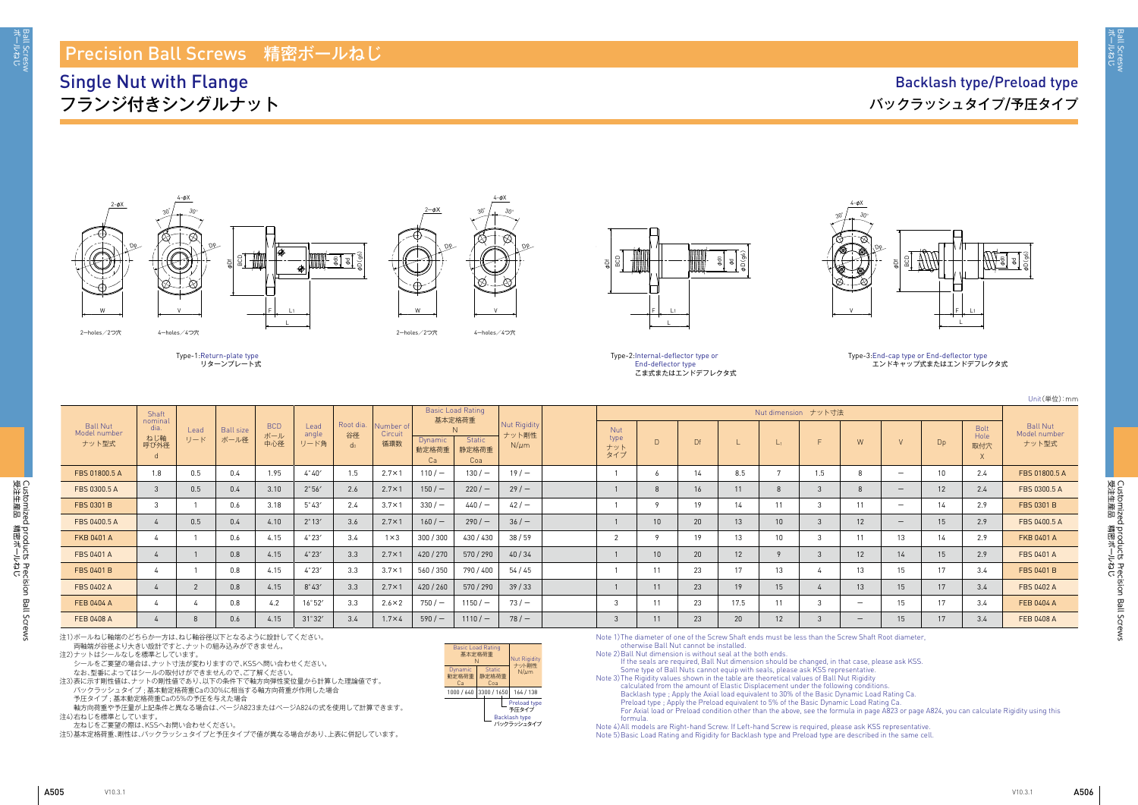3all Scresw<br>ボールねじ

Customized products Precision Ball Screws<br>受注生産品 精密ボールねじ 受注生産品 講略洋 しち Customized products Precision Ball Screws

Unit(単位):mm

Basic Load Rating

# Ball Nut Model number ナット型式 Bolt Hole 取付穴 X

|                                          | Shaft                          |             |                          |                          |                       |                 |                             | Basic Load Rating<br>基本定格荷重   |                              |                                           |                                  |                 |    |      |                 | Nut dimension ナット寸法 |     |                          |                |                            |                                          |
|------------------------------------------|--------------------------------|-------------|--------------------------|--------------------------|-----------------------|-----------------|-----------------------------|-------------------------------|------------------------------|-------------------------------------------|----------------------------------|-----------------|----|------|-----------------|---------------------|-----|--------------------------|----------------|----------------------------|------------------------------------------|
| <b>Ball Nut</b><br>Model number<br>ナット型式 | nominal<br>dia.<br>ねじ軸<br>呼び外径 | Lead<br>リード | <b>Ball size</b><br>ボール径 | <b>BCD</b><br>ボール<br>中心径 | Lead<br>angle<br>リード角 | Root dia.<br>谷径 | Number of<br>Circuit<br>循環数 | <b>Dynamic</b><br>動定格荷重<br>Ca | N.<br>Static<br>静定格荷重<br>Coa | <b>Nut Rigidity</b><br>ナット剛性<br>$N/\mu m$ | <b>Nut</b><br>type<br>ナット<br>タイプ | $\Box$          | Df |      | L1              |                     | W   | $\mathsf{V}$             | Dp             | <b>Bolt</b><br>Hole<br>取付穴 | <b>Ball Nut</b><br>Model number<br>ナット型式 |
| FBS 01800.5 A                            | 1.8                            | 0.5         | 0.4                      | 1.95                     | $4^{\circ}40'$        |                 | $2.7 \times 1$              | $110/-$                       | $130 / -$                    | 19/                                       |                                  | <sub>o</sub>    | 14 | 8.5  |                 | 1.5                 | 8   | $\overline{\phantom{0}}$ | 1 <sup>1</sup> | 2.4                        | FBS 01800.5 A                            |
| FBS 0300.5 A                             |                                | 0.5         | 0.4                      | 3.10                     | 2°56'                 | 2.6             | $2.7 \times 1$              | $150/ -$                      | 220/                         | 29/                                       |                                  | 8               | 16 | 11   |                 |                     | 8   | $\overline{\phantom{a}}$ | 12             | 2.4                        | FBS 0300.5 A                             |
| FBS 0301 B                               |                                |             | 0.6                      | 3.18                     | $5^{\circ}43'$        | 2.4             | $3.7 \times 1$              | $330/-$                       | 440/                         | $42/ -$                                   |                                  | $\circ$         | 19 | 14   | 11              | -C                  |     | $\overline{\phantom{0}}$ | 14             | 2.9                        | FBS 0301 B                               |
| FBS 0400.5 A                             |                                | 0.5         | 0.4                      | 4.10                     | $2^{\circ}13'$        | 3.6             | $2.7 \times 1$              | 160/                          | 290/                         | 36/                                       |                                  | 10              | 20 | 13   | 10 <sup>°</sup> | З                   | 12  | $\overline{\phantom{a}}$ | 15             | 2.9                        | FBS 0400.5 A                             |
| <b>FKB 0401 A</b>                        |                                |             | 0.6                      | 4.15                     | 4°23'                 | 3.4             | $1 \times 3$                | 300 / 300                     | 430 / 430                    | 38/59                                     |                                  | $\circ$         | 19 | 13   | 10 <sup>°</sup> |                     |     | 13                       | 14             | 2.9                        | FKB 0401 A                               |
| FBS 0401 A                               |                                |             | 0.8                      | 4.15                     | $4^\circ 23'$         | 3.3             | $2.7 \times 1$              | 420 / 270                     | 570/290                      | 40/34                                     |                                  | 10 <sup>1</sup> | 20 | 12   |                 |                     | 12  | 14                       | 15             | 2.9                        | <b>FBS 0401 A</b>                        |
| <b>FBS 0401 B</b>                        |                                |             | 0.8                      | 4.15                     | $4^{\circ}23'$        | 3.3             | $3.7 \times 1$              | 560 / 350                     | 790 / 400                    | 54/45                                     |                                  | 11              | 23 | 17   | 13              |                     | 13  | 15                       | 17             | 3.4                        | FBS 0401 B                               |
| <b>FBS 0402 A</b>                        |                                |             | 0.8                      | 4.15                     | $8^\circ 43'$         | 3.3             | $2.7 \times 1$              | 420 / 260                     | 570/290                      | 39/33                                     |                                  | 11              | 23 | 19   | 15              |                     | 13  | 15                       | 17             | 3.4                        | <b>FBS 0402 A</b>                        |
| FEB 0404 A                               |                                |             | 0.8                      | 4.2                      | 16°52'                | 3.3             | $2.6 \times 2$              | 750/                          | $1150/-$                     | $73/-$                                    |                                  | 11              | 23 | 17.5 | 11              |                     |     | 15                       | 17             | 3.4                        | FEB 0404 A                               |
| FEB 0408 A                               |                                |             | 0.6                      | 4.15                     | $31^\circ 32'$        | 3.4             | $1.7\times4$                | 590/                          | $1110/-$                     | 78/                                       |                                  | 11              | 23 | 20   | 12              |                     | $-$ | 15                       | 17             | 3.4                        | FEB 0408 A                               |

al a φD(g6)

注1)ボールねじ軸端のどちらか一方は、ねじ軸谷径以下となるように設計してください。 両軸端が谷径より大きい設計ですと、ナットの組み込みができません。

注2)ナットはシールなしを標準としています。

シールをご要望の場合は、ナット寸法が変わりますので、KSSへ問い合わせください。 なお、型番によってはシールの取付けができませんので、ご了解ください。

注3)表に示す剛性値は、ナットの剛性値であり、以下の条件下で軸方向弾性変位量から計算した理論値です。

Type-2: Internal-deflector type or End-deflector type こま式またはエンドデフレクタ式

バックラッシュタイプ ; 基本動定格荷重Caの30%に相当する軸方向荷重が作用した場合 予圧タイプ ; 基本動定格荷重Caの5%の予圧を与えた場合

軸方向荷重や予圧量が上記条件と異なる場合は、ぺージA823またはぺージA824の式を使用して計算できます。 注4)右ねじを標準としています。

左ねじをご要望の際は、KSSへお問い合わせください。

注5)基本定格荷重、剛性は、バックラッシュタイプと予圧タイプで値が異なる場合があり、上表に併記しています。

2-holes/2つ穴 4-holes/4つ穴





4-φX

4-φX

Dp





Dp

Type-1: Return-plate type リターンプレート式

## Precision Ball Screws 精密ボールねじ

## Single Nut with Flange フランジ付きシングルナット



Note 1) The diameter of one of the Screw Shaft ends must be less than the Screw Shaft Root diameter, otherwise Ball Nut cannot be installed.

Note 2) Ball Nut dimension is without seal at the both ends.

If the seals are required, Ball Nut dimension should be changed, in that case, please ask KSS. Some type of Ball Nuts cannot equip with seals, please ask KSS representative. Note 3) The Rigidity values shown in the table are theoretical values of Ball Nut Rigidity calculated from the amount of Elastic Displacement under the following conditions. Backlash type ; Apply the Axial load equivalent to 30% of the Basic Dynamic Load Rating Ca. Preload type ; Apply the Preload equivalent to 5% of the Basic Dynamic Load Rating Ca. For Axial load or Preload condition other than the above, see the formula in page A823 or page A824, you can calculate Rigidity using this formula. Note 4) All models are Right-hand Screw. If Left-hand Screw is required, please ask KSS representative.

Note 5) Basic Load Rating and Rigidity for Backlash type and Preload type are described in the same cell.





### Type-3: End-cap type or End-deflector type エンドキャップ式またはエンドデフレクタ式

| <b>Basic Load Rating</b><br>基本定格荷重<br>N |                               | <b>Nut Rigidity</b><br>ナット剛性                                |
|-----------------------------------------|-------------------------------|-------------------------------------------------------------|
| Dynamic<br>動定格荷重<br>Cа                  | <b>Static</b><br>静定格荷重<br>Coa | $N/\mu$ m                                                   |
| 1000 / 640                              | 3300 / 1650                   | 164 / 138                                                   |
|                                         |                               | Preload type<br>予圧タイプ<br><b>Backlash type</b><br>バックラッシュタイプ |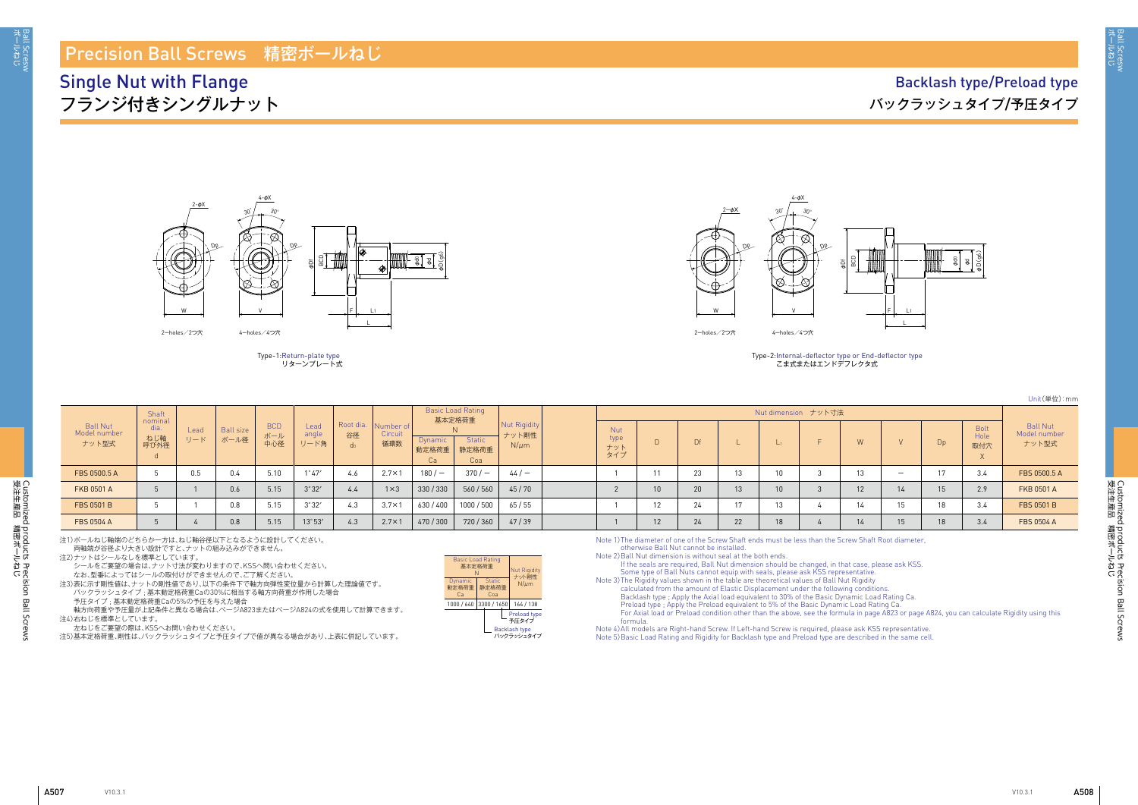3all Scresw<br>ボールねじ

Unit(単位):mm

|                                   | Shaft<br>nominal    |             |                          |                          |                       |                                   |                             |                        | <b>Basic Load Rating</b><br>基本定格荷重 |                                           |                                  |    |    |    | Nut dimension ナット寸法 |    |                          |                |                            |                                          |
|-----------------------------------|---------------------|-------------|--------------------------|--------------------------|-----------------------|-----------------------------------|-----------------------------|------------------------|------------------------------------|-------------------------------------------|----------------------------------|----|----|----|---------------------|----|--------------------------|----------------|----------------------------|------------------------------------------|
| Ball Nut<br>Model number<br>ナット型式 | dia.<br>ねじ軸<br>呼び外径 | Lead<br>リード | <b>Ball size</b><br>ボール径 | <b>BCD</b><br>ボール<br>中心径 | Lead<br>angle<br>リード角 | Root dia.<br>谷径<br>d <sub>0</sub> | Number of<br>Circuit<br>循環数 | Dynamic<br>動定格荷重<br>Ca | <b>Static</b><br>静定格荷重<br>Coa      | <b>Nut Rigidity</b><br>ナット剛性<br>$N/\mu m$ | <b>Nut</b><br>type<br>ナット<br>タイプ |    |    |    |                     | W  |                          | D <sub>p</sub> | <b>Bolt</b><br>Hole<br>取付穴 | <b>Ball Nut</b><br>Model number<br>ナット型式 |
| FBS 0500.5 A                      |                     | 0.5         | 0.4                      | 5.10                     | $1^{\circ}47'$        | 4.6                               | $2.7 \times 1$              | $180/-$                | $370/-$                            | 44/                                       |                                  |    | 23 |    |                     |    | $\overline{\phantom{0}}$ |                | 4.د                        | FBS 0500.5 A                             |
| <b>FKB 0501 A</b>                 |                     |             | 0.6                      | 5.15                     | 3°32'                 | 4.4                               | $1 \times 3$                | 330/330                | 560/560                            | 45/70                                     |                                  |    | 20 | 13 |                     | 12 |                          |                | 2.9                        | <b>FKB 0501 A</b>                        |
| FBS 0501 B                        |                     |             | 0.8                      | 5.15                     | $3^\circ 32'$         | $\sim$<br>4.3                     | $3.7 \times 1$              | 630 / 400              | 1000 / 500                         | 65/55                                     |                                  |    | 24 |    |                     |    |                          |                | 3.4                        | FBS 0501 B                               |
| FBS 0504 A                        |                     |             | 0.8                      | 5.15                     | 13°53'                | 4.3                               | $2.7 \times 1$              | 470 / 300              | 720/360                            | 47/39                                     |                                  | 12 | 24 | 22 |                     |    | 15                       |                | 3.4                        | <b>FBS 0504 A</b>                        |

## Precision Ball Screws 精密ボールねじ

Single Nut with Flange フランジ付きシングルナット





Type-1: Return-plate type リターンプレート式



| <b>Basic Load Rating</b><br>基本定格荷重<br>N |                               | <b>Nut Rigidity</b><br>ナット剛性                  |  |  |  |  |  |
|-----------------------------------------|-------------------------------|-----------------------------------------------|--|--|--|--|--|
| Dynamic<br>動定格荷重<br>Cа                  | <b>Static</b><br>静定格荷重<br>Coa | $N/\mu$ m                                     |  |  |  |  |  |
| 1000 / 640                              | 3300 / 1650                   | 164 / 138                                     |  |  |  |  |  |
|                                         |                               | Preload type<br>予圧タイプ<br><b>Backlash type</b> |  |  |  |  |  |

| $2-\phi X$<br>De | $4 - \psi \wedge$<br>$30^\circ$<br>$30^{\circ}$<br>Ol<br>BCD<br>φDf<br>ł, |
|------------------|---------------------------------------------------------------------------|
| W                | V                                                                         |
| 2-holes/2つ穴      | 4-holes/4つ穴                                                               |

Type-2: Internal-deflector type or End-deflector type こま式またはエンドデフレクタ式

 $4-4V$ 

Backlash type バックラッシュタイプ

注1)ボールねじ軸端のどちらか一方は、ねじ軸谷径以下となるように設計してください。

両軸端が谷径より大きい設計ですと、ナットの組み込みができません。

注2)ナットはシールなしを標準としています。

シールをご要望の場合は、ナット寸法が変わりますので、KSSへ問い合わせください。

なお、型番によってはシールの取付けができませんので、ご了解ください。

注3)表に示す剛性値は、ナットの剛性値であり、以下の条件下で軸方向弾性変位量から計算した理論値です。 バックラッシュタイプ ; 基本動定格荷重Caの30%に相当する軸方向荷重が作用した場合

予圧タイプ ; 基本動定格荷重Caの5%の予圧を与えた場合

軸方向荷重や予圧量が上記条件と異なる場合は、ぺージA823またはぺージA824の式を使用して計算できます。 注4)右ねじを標準としています。

左ねじをご要望の際は、KSSへお問い合わせください。

注5)基本定格荷重、剛性は、バックラッシュタイプと予圧タイプで値が異なる場合があり、上表に併記しています。

Note 1) The diameter of one of the Screw Shaft ends must be less than the Screw Shaft Root diameter, otherwise Ball Nut cannot be installed.

Note 2) Ball Nut dimension is without seal at the both ends.

If the seals are required, Ball Nut dimension should be changed, in that case, please ask KSS. Some type of Ball Nuts cannot equip with seals, please ask KSS representative. Note 3) The Rigidity values shown in the table are theoretical values of Ball Nut Rigidity calculated from the amount of Elastic Displacement under the following conditions. Backlash type ; Apply the Axial load equivalent to 30% of the Basic Dynamic Load Rating Ca. Preload type ; Apply the Preload equivalent to 5% of the Basic Dynamic Load Rating Ca. For Axial load or Preload condition other than the above, see the formula in page A823 or page A824, you can calculate Rigidity using this formula.

Note 4) All models are Right-hand Screw. If Left-hand Screw is required, please ask KSS representative. Note 5) Basic Load Rating and Rigidity for Backlash type and Preload type are described in the same cell.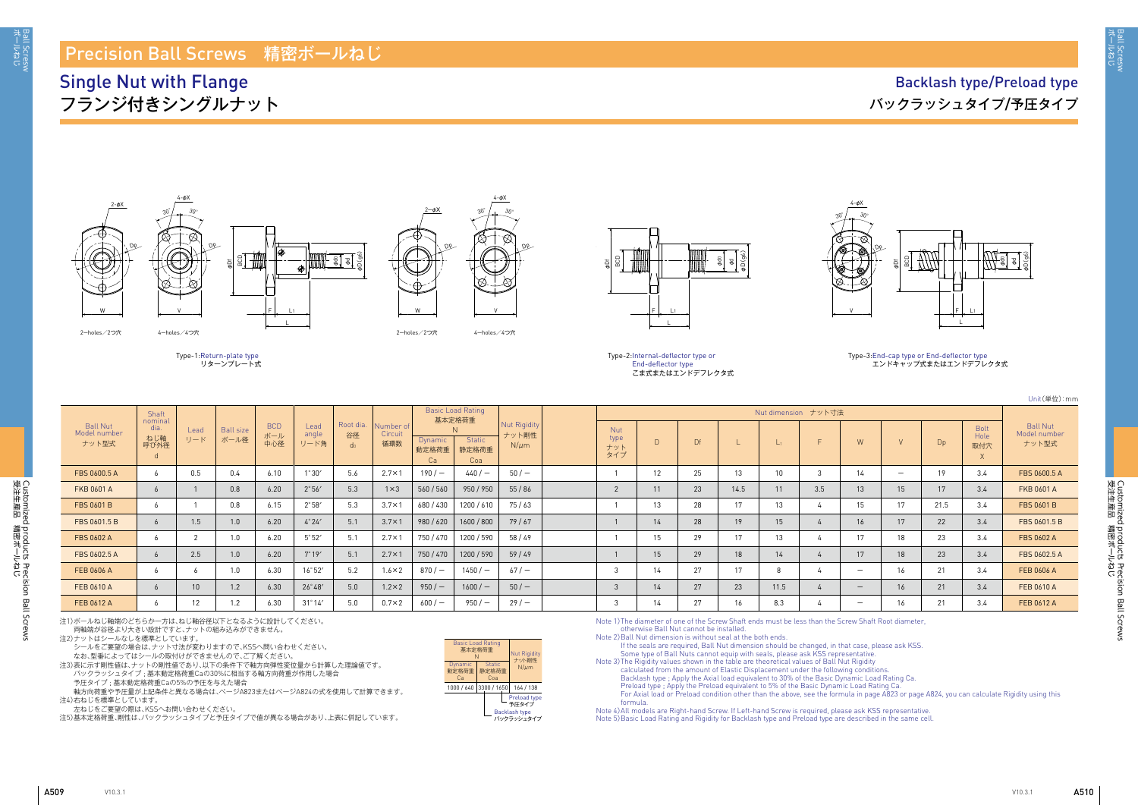aall Scresw<br>ドールねじ

Customized products Precision Ball Screws<br>受注生産品 精密ボールねじ 受注生産品 講略洋 しち Customized products Precision Ball Screws

Unit(単位):mm

# Ball Nut Model number ナット型式 Bolt Hole 取付穴 X

|                                          | Shaft                          |                   |                          |                   |                       |                        |                             |                               | <b>Basic Load Rating</b><br>基本定格荷重 |                                           |                                  |    |           |      |       | Nut dimension ナット寸法 |                          |                          |                |                     |                                         |
|------------------------------------------|--------------------------------|-------------------|--------------------------|-------------------|-----------------------|------------------------|-----------------------------|-------------------------------|------------------------------------|-------------------------------------------|----------------------------------|----|-----------|------|-------|---------------------|--------------------------|--------------------------|----------------|---------------------|-----------------------------------------|
| <b>Ball Nut</b><br>Model number<br>ナット型式 | nominal<br>dia.<br>ねじ軸<br>呼び外径 | Lead<br>リード       | <b>Ball size</b><br>ボール径 | BCD<br>ボール<br>中心径 | Lead<br>angle<br>リード角 | Root dia.<br>谷径<br>-dr | Number of<br>Circuit<br>循環数 | <b>Dynamic</b><br>動定格荷重<br>Ca | Static<br>静定格荷重<br>Coa             | <b>Nut Rigidity</b><br>ナット剛性<br>$N/\mu m$ | <b>Nut</b><br>type<br>ナット<br>タイプ | D  | <b>Df</b> |      | $L_1$ |                     | W                        |                          | D <sub>p</sub> | Bolt<br>Hole<br>取付穴 | <b>Ball Nut</b><br>Model numbe<br>ナット型式 |
| FBS 0600.5 A                             | <sub>o</sub>                   | 0.5               | 0.4                      | 6.10              | $1^{\circ}30'$        | 5.6                    | $2.7 \times 1$              | 190 $/ -$                     | 440/                               | 50/                                       |                                  | 12 | 25        | 13   |       |                     | 14                       | $\overline{\phantom{m}}$ | 19             | 3.4                 | FBS 0600.5 A                            |
| FKB 0601 A                               |                                |                   | 0.8                      | 6.20              | $2^{\circ}56'$        | 5.3                    | $1 \times 3$                | 560/560                       | 950 / 950                          | 55/86                                     |                                  | 11 | 23        | 14.5 | 11    | 3.5                 | 13                       | 15                       | 17             | 3.4                 | FKB 0601 A                              |
| <b>FBS 0601 B</b>                        | <sub>o</sub>                   |                   | 0.8                      | 6.15              | $2^{\circ}58'$        | 5.3                    | $3.7 \times 1$              | 680/430                       | 1200 / 610                         | 75/63                                     |                                  | 13 | 28        | 17   | 13    |                     | 15                       | 17                       | 21.5           | 3.4                 | <b>FBS 0601 B</b>                       |
| FBS 0601.5 B                             |                                | 1.5               | 1.0                      | 6.20              | $4^\circ 24'$         | 5.1                    | $3.7 \times 1$              | 980 / 620                     | 1600 / 800                         | 79/67                                     |                                  | 14 | 28        | 19   | 15    |                     | 16                       | 17                       | 22             | 3.4                 | FBS 0601.5 B                            |
| FBS 0602 A                               |                                |                   | 1.0                      | 6.20              | $5^{\circ}52'$        | 5.1                    | $2.7 \times 1$              | 750/470                       | 1200 / 590                         | 58/49                                     |                                  | 15 | 29        | 17   | 13    |                     | 17                       | 18                       | 23             | 3.4                 | <b>FBS 0602 A</b>                       |
| FBS 0602.5 A                             |                                | 2.5               | 1.0                      | 6.20              | $7^\circ 19'$         | 5.1                    | $2.7 \times 1$              | 750 / 470                     | 1200 / 590                         | 59/49                                     |                                  | 15 | 29        | 18   | 14    |                     | 17                       | 18                       | 23             | 3.4                 | FBS 0602.5 A                            |
| FEB 0606 A                               |                                |                   | 1.0                      | 6.30              | 16°52'                | 5.2                    | $1.6 \times 2$              | $870/-$                       | $1450/ -$                          | 67/                                       |                                  | 14 | 27        | 17   |       |                     |                          | 16                       | 21             | 3.4                 | FEB 0606 A                              |
| FEB 0610 A                               | h.                             | 10 <sup>1</sup>   | 1.2                      | 6.30              | $26^{\circ}48'$       | 5.0                    | $1.2 \times 2$              | 950/                          | $1600 / -$                         | 50/                                       | 3                                | 14 | 27        | 23   | 11.5  |                     | $\overline{\phantom{0}}$ | 16                       | 21             | 3.4                 | FEB 0610 A                              |
| FEB 0612 A                               | <sub>6</sub>                   | $12 \overline{ }$ | 1.2                      | 6.30              | $31^\circ 14'$        | 5.0                    | $0.7\times2$                | $600/-$                       | $950/-$                            | 29/                                       |                                  | 14 | 27        | 16   | 8.3   |                     |                          | 16                       | 21             | 3.4                 | FEB 0612 A                              |

al a φD(g6)

。<br>バックラッシュタイプ ; 基本動定格荷重Caの30%に相当する軸方向荷重が作用した場合 予圧タイプ ; 基本動定格荷重Caの5%の予圧を与えた場合

## Precision Ball Screws 精密ボールねじ

## Single Nut with Flange フランジ付きシングルナット



| N | <b>Basic Load Rating</b> |        | <b>Nut Rigidity</b><br>ナット剛性                         |
|---|--------------------------|--------|------------------------------------------------------|
|   | <b>Static</b><br>Coa     |        | $N/\mu$ m                                            |
|   |                          |        | 164 / 138                                            |
|   |                          |        | Preload type<br>予圧タイプ<br>Backlash type<br>バックラッシュタイプ |
|   |                          | 基本定格荷重 | 静定格荷重<br>3300 / 1650                                 |

2-holes/2つ穴 4-holes/4つ穴





4-φX

Type-2: Internal-deflector type or End-deflector type こま式またはエンドデフレクタ式

Dp





Dp





### Type-3: End-cap type or End-deflector type エンドキャップ式またはエンドデフレクタ式

注1)ボールねじ軸端のどちらか一方は、ねじ軸谷径以下となるように設計してください。

両軸端が谷径より大きい設計ですと、ナットの組み込みができません。

注2)ナットはシールなしを標準としています。

シールをご要望の場合は、ナット寸法が変わりますので、KSSへ問い合わせください。 なお、型番によってはシールの取付けができませんので、ご了解ください。

注3)表に示す剛性値は、ナットの剛性値であり、以下の条件下で軸方向弾性変位量から計算した理論値です。

軸方向荷重や予圧量が上記条件と異なる場合は、ぺージA823またはぺージA824の式を使用して計算できます。 注4)右ねじを標準としています。

.<br>左ねじをご要望の際は、KSSへお問い合わせください。

注5)基本定格荷重、剛性は、バックラッシュタイプと予圧タイプで値が異なる場合があり、上表に併記しています。

Note 1) The diameter of one of the Screw Shaft ends must be less than the Screw Shaft Root diameter, otherwise Ball Nut cannot be installed.

Note 2) Ball Nut dimension is without seal at the both ends.

If the seals are required, Ball Nut dimension should be changed, in that case, please ask KSS. Some type of Ball Nuts cannot equip with seals, please ask KSS representative. Note 3) The Rigidity values shown in the table are theoretical values of Ball Nut Rigidity calculated from the amount of Elastic Displacement under the following conditions. Backlash type ; Apply the Axial load equivalent to 30% of the Basic Dynamic Load Rating Ca. Preload type ; Apply the Preload equivalent to 5% of the Basic Dynamic Load Rating Ca. For Axial load or Preload condition other than the above, see the formula in page A823 or page A824, you can calculate Rigidity using this formula. Note 4) All models are Right-hand Screw. If Left-hand Screw is required, please ask KSS representative.

Note 5) Basic Load Rating and Rigidity for Backlash type and Preload type are described in the same cell.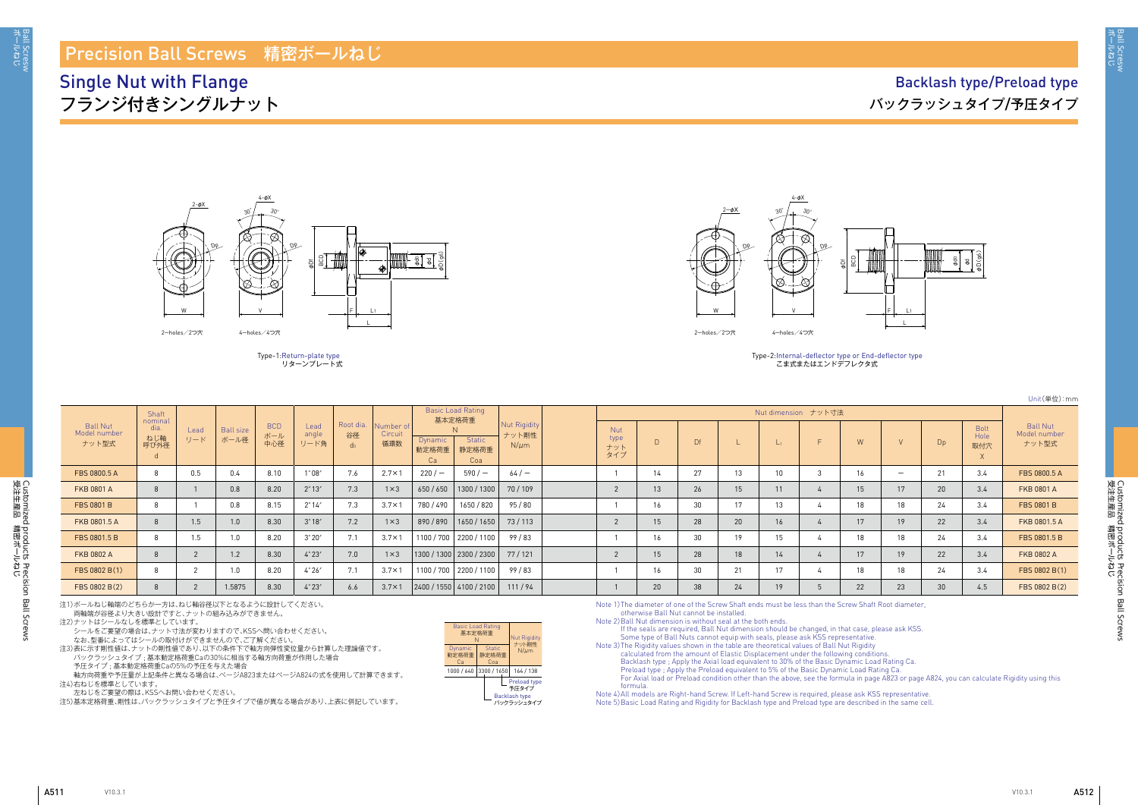3all Scresw<br>ボールねじ

Customized products Precision Ball Screws<br>受注生産品 精密ボールねじ 受注生産品 講略洋 しち Customized products Precision Ball Screws

| Unit(単位):mm |
|-------------|
|-------------|

## Precision Ball Screws 精密ボールねじ

Single Nut with Flange フランジ付きシングルナット

## Backlash type/Preload type バックラッシュタイプ/予圧タイプ

| <b>Basic Load Rating</b><br>基本定格荷重<br>N |                               | <b>Nut Rigidity</b><br>ナット剛性                         |
|-----------------------------------------|-------------------------------|------------------------------------------------------|
| Dynamic<br>動定格荷重<br>Cа                  | <b>Static</b><br>静定格荷重<br>Coa | $N/\mu$ m                                            |
| 1000 / 640                              | 3300 / 1650                   | 164 / 138                                            |
|                                         |                               | Preload type<br>予圧タイプ<br>Backlash type<br>バックラッシュタイプ |

こま式またはエンドデフレクタ式

|                                   | Shaft                          |             |                          |                          |                       |                                   |                             |                        | <b>Basic Load Rating</b><br>基本定格荷重 |                                    |                           |    |    |    | Nut dimension ナット寸法 |    |                          |     |                            |                                          |
|-----------------------------------|--------------------------------|-------------|--------------------------|--------------------------|-----------------------|-----------------------------------|-----------------------------|------------------------|------------------------------------|------------------------------------|---------------------------|----|----|----|---------------------|----|--------------------------|-----|----------------------------|------------------------------------------|
| Ball Nut<br>Model number<br>ナット型式 | nominal<br>dia.<br>ねじ軸<br>呼び外径 | Lead<br>リード | <b>Ball size</b><br>ボール径 | <b>BCD</b><br>ボール<br>中心径 | Lead<br>angle<br>リード角 | Root dia.<br>谷径<br>d <sub>0</sub> | Number of<br>Circuit<br>循環数 | Dynamic<br>動定格荷重<br>Ca | <b>Static</b><br>静定格荷重<br>Coa      | Nut Rigidity<br>ナット剛性<br>$N/\mu m$ | Nut<br>type<br>ナット<br>タイプ |    | Df |    |                     | W  |                          | Dp  | <b>Bolt</b><br>Hole<br>取付穴 | <b>Ball Nut</b><br>Model number<br>ナット型式 |
| FBS 0800.5 A                      |                                | 0.5         | 0.4                      | 8.10                     | $1^{\circ}08'$        | 7.6                               | $2.7 \times 1$              | 220/                   | $590/$ $-$                         | $64/-$                             |                           |    | 27 |    |                     |    | $\overline{\phantom{0}}$ | -21 | 3.4                        | FBS 0800.5 A                             |
| <b>FKB 0801 A</b>                 |                                |             | 0.8                      | 8.20                     | $2^{\circ}13'$        | 7.3                               | $1 \times 3$                | 650 / 650              | 1300 / 1300                        | 70/109                             |                           |    | 26 |    |                     |    |                          | 20  | 3.4                        | <b>FKB 0801 A</b>                        |
| FBS 0801 B                        |                                |             | 0.8                      | 8.15                     | $2^{\circ}14'$        | 7.3                               | $3.7 \times 1$              | 780 / 490              | 1650 / 820                         | 95/80                              |                           | 16 | 30 |    | 13                  | 18 | 18                       | 24  | 3.4                        | <b>FBS 0801 B</b>                        |
| FKB 0801.5 A                      |                                | 1.5         | 1.0                      | 8.30                     | $3^\circ 18'$         | 7.2                               | $1 \times 3$                | 890/890                | 1650/1650                          | 73 / 113                           |                           | 15 | 28 | 20 |                     |    |                          | 22  | 3.4                        | FKB 0801.5 A                             |
| FBS 0801.5 B                      |                                | 1.5         |                          | 8.20                     | $3^{\circ}20'$        | 7.1                               | $3.7 \times 1$              |                        | 1100 / 700   2200 / 1100           | 99/83                              |                           |    | 30 |    |                     | 18 | 18                       | 24  | 3.4                        | FBS 0801.5 B                             |
| <b>FKB 0802 A</b>                 |                                |             | 1.2                      | 8.30                     | 4°23'                 | 7.0                               | $1 \times 3$                |                        | 1300 / 1300   2300 / 2300          | 77/121                             |                           |    | 28 | 18 |                     |    |                          | 22  | 3.4                        | <b>FKB 0802 A</b>                        |
| FBS 0802 B(1)                     |                                |             | 1.0                      | 8.20                     | $4^\circ 26'$         | 7.1                               | $3.7 \times 1$              |                        | 1100 / 700 2200 / 1100             | 99/83                              |                           | 16 | 30 | 21 |                     |    |                          | 24  | 3.4                        | FBS 0802 B(1)                            |
| FBS 0802 B(2)                     |                                |             | 1.5875                   | 8.30                     | 4°23'                 | 6.6                               | $3.7 \times 1$              |                        | 2400/1550 4100/2100                | 111/94                             |                           | 20 | 38 | 24 |                     | 22 | 23                       | 30  | 4.5                        | FBS 0802 B(2)                            |



Type-1: Return-plate type リターンプレート式



Type-2: Internal-deflector type or End-deflector type

注1)ボールねじ軸端のどちらか一方は、ねじ軸谷径以下となるように設計してください。

両軸端が谷径より大きい設計ですと、ナットの組み込みができません。

注2)ナットはシールなしを標準としています。

シールをご要望の場合は、ナット寸法が変わりますので、KSSへ問い合わせください。

なお、型番によってはシールの取付けができませんので、ご了解ください。

注3)表に示す剛性値は、ナットの剛性値であり、以下の条件下で軸方向弾性変位量から計算した理論値です。 バックラッシュタイプ ; 基本動定格荷重Caの30%に相当する軸方向荷重が作用した場合 予圧タイプ ; 基本動定格荷重Caの5%の予圧を与えた場合

軸方向荷重や予圧量が上記条件と異なる場合は、ぺージA823またはぺージA824の式を使用して計算できます。 注4)右ねじを標準としています。

左ねじをご要望の際は、KSSへお問い合わせください。

注5)基本定格荷重、剛性は、バックラッシュタイプと予圧タイプで値が異なる場合があり、上表に併記しています。

Note 1) The diameter of one of the Screw Shaft ends must be less than the Screw Shaft Root diameter, otherwise Ball Nut cannot be installed.

Note 2) Ball Nut dimension is without seal at the both ends.

If the seals are required, Ball Nut dimension should be changed, in that case, please ask KSS. Some type of Ball Nuts cannot equip with seals, please ask KSS representative. calculated from the amount of Elastic Displacement under the following conditions. Backlash type ; Apply the Axial load equivalent to 30% of the Basic Dynamic Load Rating Ca. Preload type ; Apply the Preload equivalent to 5% of the Basic Dynamic Load Rating Ca. For Axial load or Preload condition other than the above, see the formula in page A823 or page A824, you can calculate Rigidity using this formula.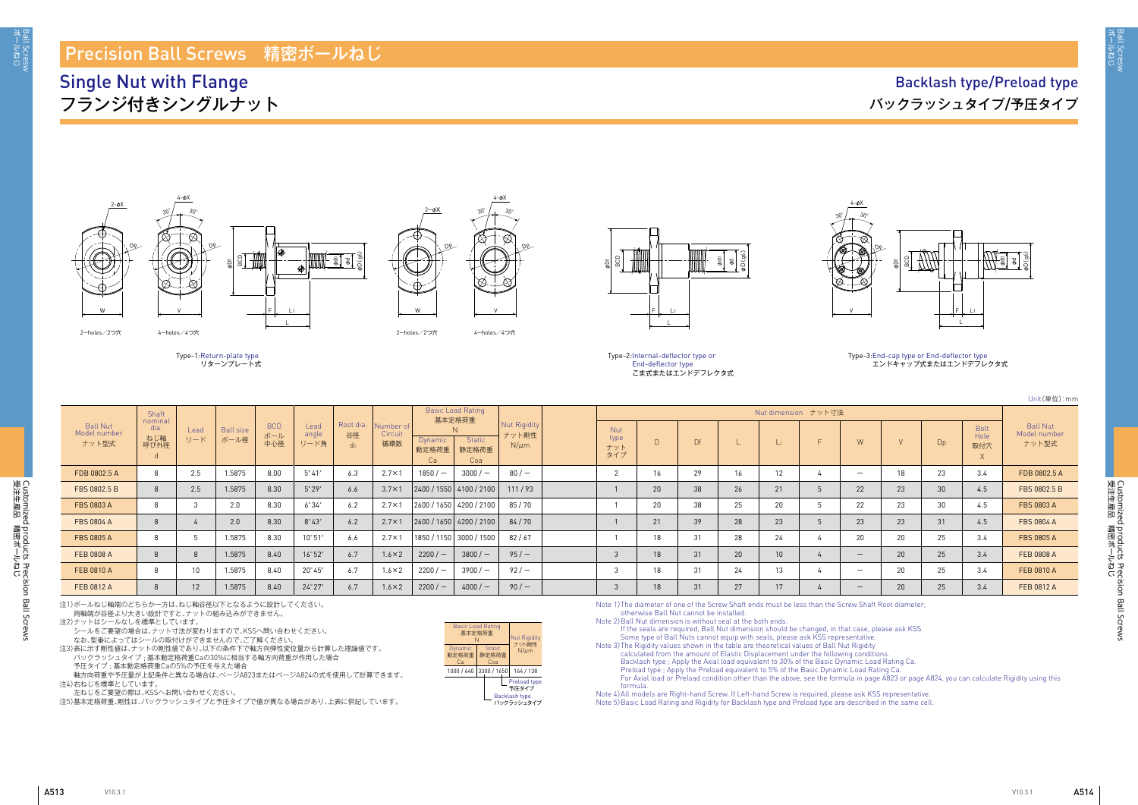A513 A514

ボールねじ Ball Scresw

3all Scresw<br>ボールねじ

Customized products Precision Ball Screws<br>受注生産品 精密ボールねじ 受注生産品 講略洋 しち Customized products Precision Ball Screws

Unit(単位):mm

## Ball Nut Model number ナット型式 Bolt Hole 取付穴 X

|                                   |                                    |             |                          |                          |                       |                                   |                             |                               |                                    |                                    |                                  |    |    |    |           |                     |                          |    |    |                            | $U(111)(+12)$                           |
|-----------------------------------|------------------------------------|-------------|--------------------------|--------------------------|-----------------------|-----------------------------------|-----------------------------|-------------------------------|------------------------------------|------------------------------------|----------------------------------|----|----|----|-----------|---------------------|--------------------------|----|----|----------------------------|-----------------------------------------|
|                                   | Shaft                              |             |                          |                          |                       |                                   |                             |                               | <b>Basic Load Rating</b><br>基本定格荷重 |                                    |                                  |    |    |    |           | Nut dimension ナット寸法 |                          |    |    |                            |                                         |
| Ball Nut<br>Model number<br>ナット型式 | nominal<br>dia<br>ねじ軸<br>呼び外径<br>d | Lead<br>リード | <b>Ball size</b><br>ボール径 | <b>BCD</b><br>ボール<br>中心径 | Lead<br>angle<br>リード角 | Root dia.<br>谷径<br>d <sub>0</sub> | Number of<br>Circuit<br>循環数 | <b>Dynamic</b><br>動定格荷重<br>Ca | <b>Static</b><br>静定格荷重<br>Coa      | Nut Rigidity<br>ナット剛性<br>$N/\mu m$ | <b>Nut</b><br>type<br>ナット<br>タイプ | D  | Df |    | $\vert$ 1 |                     | W                        |    |    | <b>Bolt</b><br>Hole<br>取付穴 | <b>Ball Nut</b><br>Model numbe<br>ナット型式 |
| FDB 0802.5 A                      | 8                                  | 2.5         | 1.5875                   | 8.00                     | $5^{\circ}41'$        | 6.3                               | $2.7 \times 1$              | 1850 / —                      | $3000 / -$                         | $80/$ –                            |                                  | 16 | 29 | 16 | 12        |                     | $\overline{\phantom{0}}$ | 18 | 23 | 3.4                        | FDB 0802.5 A                            |
| FBS 0802.5 B                      | $\mathbf{8}$                       | 2.5         | 1.5875                   | 8.30                     | $5^{\circ}29'$        | 6.6                               | $3.7 \times 1$              |                               | 2400/1550 4100/2100                | 111/93                             |                                  | 20 | 38 | 26 | 21        |                     | 22                       | 23 | 30 | 4.5                        | FBS 0802.5 B                            |
| FBS 0803 A                        | 8                                  |             | 2.0                      | 8.30                     | $6^\circ 34'$         | 6.2                               | $2.7 \times 1$              |                               | 2600 / 1650 4200 / 2100            | 85/70                              |                                  | 20 | 38 | 25 | 20        |                     | 22                       | 23 | 30 | 4.5                        | FBS 0803 A                              |
| FBS 0804 A                        | 8                                  |             | 2.0                      | 8.30                     | $8^{\circ}43'$        | 6.2                               | $2.7 \times 1$              |                               | $ 2600/1650 $ 4200 / 2100          | 84/70                              |                                  | 21 | 39 | 28 | 23        |                     | 23                       | 23 | 31 | 4.5                        | <b>FBS 0804 A</b>                       |
| <b>FBS 0805 A</b>                 | 8                                  |             | 1.5875                   | 8.30                     | $10^{\circ}51'$       | 6.6                               | $2.7 \times 1$              |                               | 1850 / 1150 3000 / 1500            | 82/67                              |                                  | 18 | 31 | 28 | 24        |                     | 20                       | 20 | 25 | 3.4                        | <b>FBS 0805 A</b>                       |
| FEB 0808 A                        |                                    |             | 1.5875                   | 8.40                     | 16°52'                | 6.7                               | $1.6 \times 2$              | $2200/-$                      | $3800 / -$                         | 95/                                |                                  | 18 | 31 | 20 |           |                     | $\overline{\phantom{a}}$ | 20 | 25 | 3.4                        | FEB 0808 A                              |
| FEB 0810 A                        | 8                                  |             | 1.5875                   | 8.40                     | $20^{\circ}45'$       | 6.7                               | $1.6 \times 2$              | $2200/-$                      | $3900/-$                           | 92/                                |                                  | 18 | 31 | 24 | 13        |                     | $\overline{\phantom{0}}$ | 20 | 25 | 3.4                        | FEB 0810 A                              |
| FEB 0812 A                        |                                    |             | 1.5875                   | 8.40                     | $24^\circ 27'$        | 6.7                               | $1.6 \times 2$              | $2200/-$                      | $4000 / -$                         | 90/                                |                                  | 18 | 31 | 27 | 17        |                     | $\overline{\phantom{a}}$ | 20 | 25 | 3.4                        | FEB 0812 A                              |

al a φD(g6)

## Precision Ball Screws 精密ボールねじ

## Single Nut with Flange フランジ付きシングルナット



|                        | <b>Basic Load Rating</b><br>基本定格荷重<br>N |                               |  |                                               |  |  |  |  |  |  |  |  |
|------------------------|-----------------------------------------|-------------------------------|--|-----------------------------------------------|--|--|--|--|--|--|--|--|
| Dynamic<br>動定格荷重<br>Cа |                                         | <b>Static</b><br>静定格荷重<br>Coa |  | ナット剛性<br>$N/\mu$ m                            |  |  |  |  |  |  |  |  |
| 1000 / 640             |                                         | 3300 / 1650                   |  | 164 / 138                                     |  |  |  |  |  |  |  |  |
|                        |                                         |                               |  | Preload type<br>予圧タイプ<br><b>Backlash type</b> |  |  |  |  |  |  |  |  |
|                        |                                         |                               |  | バックラッシュタイプ                                    |  |  |  |  |  |  |  |  |

2-holes/2つ穴 4-holes/4つ穴





4-φX

Type-2: Internal-deflector type or End-deflector type こま式またはエンドデフレクタ式

Dp







Dp





### Type-3: End-cap type or End-deflector type エンドキャップ式またはエンドデフレクタ式

注1)ボールねじ軸端のどちらか一方は、ねじ軸谷径以下となるように設計してください。

両軸端が谷径より大きい設計ですと、ナットの組み込みができません。

注2)ナットはシールなしを標準としています。

シールをご要望の場合は、ナット寸法が変わりますので、KSSへ問い合わせください。

なお、型番によってはシールの取付けができませんので、ご了解ください。

注3)表に示す剛性値は、ナットの剛性値であり、以下の条件下で軸方向弾性変位量から計算した理論値です。 バックラッシュタイプ ; 基本動定格荷重Caの30%に相当する軸方向荷重が作用した場合 予圧タイプ ; 基本動定格荷重Caの5%の予圧を与えた場合

軸方向荷重や予圧量が上記条件と異なる場合は、ぺージA823またはぺージA824の式を使用して計算できます。 注4)右ねじを標準としています。

左ねじをご要望の際は、KSSへお問い合わせください。

注5)基本定格荷重、剛性は、バックラッシュタイプと予圧タイプで値が異なる場合があり、上表に併記しています。

Note 1) The diameter of one of the Screw Shaft ends must be less than the Screw Shaft Root diameter, otherwise Ball Nut cannot be installed.

Note 2) Ball Nut dimension is without seal at the both ends.

If the seals are required, Ball Nut dimension should be changed, in that case, please ask KSS. Some type of Ball Nuts cannot equip with seals, please ask KSS representative. Note 3) The Rigidity values shown in the table are theoretical values of Ball Nut Rigidity calculated from the amount of Elastic Displacement under the following conditions. Backlash type ; Apply the Axial load equivalent to 30% of the Basic Dynamic Load Rating Ca. Preload type ; Apply the Preload equivalent to 5% of the Basic Dynamic Load Rating Ca. For Axial load or Preload condition other than the above, see the formula in page A823 or page A824, you can calculate Rigidity using this formula. Note 4) All models are Right-hand Screw. If Left-hand Screw is required, please ask KSS representative. Note 5) Basic Load Rating and Rigidity for Backlash type and Preload type are described in the same cell.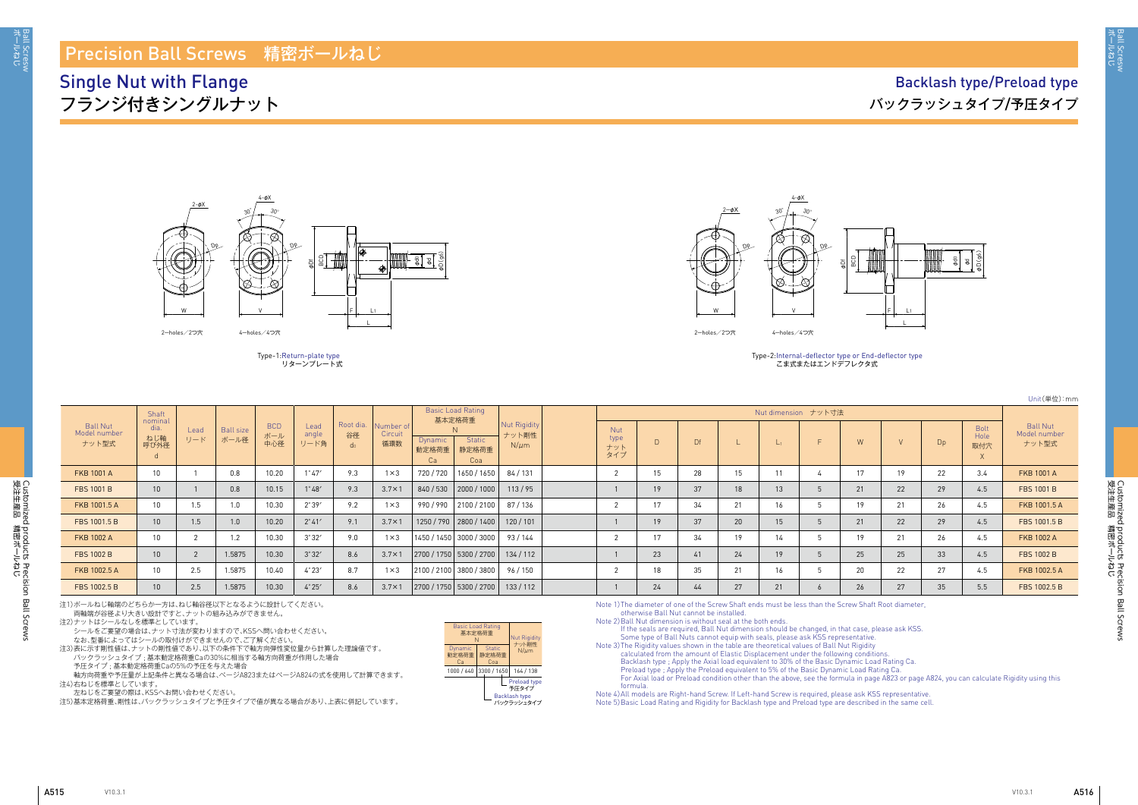受注生産品 講験共一

ボールねじ Ball Scresw

Ball Scresw<br>ポールねじ

Customized products Precision Ball Screws<br>受注生産品 精密术一ルねじ 受注生産品 講略洋 しち Customized products Precision Ball Screws

Customized products Precision Ball Screws

Customized products Precision Ball Screws<br>受注生産品 精密ボールねじ

|                                          |                                |             |                          |                          |                       |                         |                             |                        |                                    |                                    |                                  |    |           |                 |                     |                 |    |    |                            | ○□□□□ (一 山ノ・□□□                          |
|------------------------------------------|--------------------------------|-------------|--------------------------|--------------------------|-----------------------|-------------------------|-----------------------------|------------------------|------------------------------------|------------------------------------|----------------------------------|----|-----------|-----------------|---------------------|-----------------|----|----|----------------------------|------------------------------------------|
|                                          | Shaft                          |             |                          |                          |                       |                         |                             |                        | <b>Basic Load Rating</b><br>基本定格荷重 |                                    |                                  |    |           |                 | Nut dimension ナット寸法 |                 |    |    |                            |                                          |
| <b>Ball Nut</b><br>Model number<br>ナット型式 | nominal<br>dia.<br>ねじ軸<br>呼び外径 | Lead<br>リード | <b>Ball size</b><br>ボール径 | <b>BCD</b><br>ボール<br>中心径 | Lead<br>angle<br>リード角 | Root dia.<br>谷径<br>- do | Number of<br>Circuit<br>循環数 | Dynamic<br>動定格荷重<br>Ca | <b>Static</b><br>静定格荷重<br>Coa      | Nut Rigidity<br>ナット剛性<br>$N/\mu m$ | <b>Nut</b><br>type<br>ナット<br>タイプ | D. | <b>Df</b> |                 | $\vert$ 1           | W               |    | Dp | <b>Bolt</b><br>Hole<br>取付穴 | <b>Ball Nut</b><br>Model number<br>ナット型式 |
| <b>FKB 1001 A</b>                        | 10                             |             | 0.8                      | 10.20                    | $1^{\circ}47'$        | 9.3                     | $1 \times 3$                | 720/720                | 1650 / 1650                        | 84 / 131                           |                                  | 15 | 28        | 15              |                     | 17              | 19 | 22 | 3.4                        | <b>FKB 1001 A</b>                        |
| FBS 1001 B                               | 10 <sup>°</sup>                |             | 0.8                      | 10.15                    | $1^{\circ}48'$        | 9.3                     | $3.7 \times 1$              |                        | 840 / 530 2000 / 1000              | 113/95                             |                                  | 19 | 37        | 18              | 13                  | 21              | 22 | 29 | 4.5                        | <b>FBS 1001 B</b>                        |
| FKB 1001.5 A                             | 10 <sup>°</sup>                | 1.5         | 1.0                      | 10.30                    | $2^{\circ}39'$        | 9.2                     | $1 \times 3$                |                        | 990 / 990 2100 / 2100              | 87 / 136                           |                                  | 17 | 34        | 21              | 16                  | 19              | 21 | 26 | 4.5                        | FKB 1001.5 A                             |
| FBS 1001.5 B                             | 10 <sup>1</sup>                | 1.5         | 1.0                      | 10.20                    | $2^{\circ}41'$        | 9.1                     | $3.7 \times 1$              |                        | 1250 / 790   2800 / 1400           | 120/101                            |                                  | 19 | 37        | 20 <sup>1</sup> | 15 <sup>15</sup>    | 21              | 22 | 29 | 4.5                        | FBS 1001.5 B                             |
| <b>FKB 1002 A</b>                        | 10                             |             | 1.2                      | 10.30                    | 3°32'                 | 9.0                     | $1 \times 3$                |                        | 1450 / 1450 3000 / 3000            | 93/144                             |                                  | 17 | 34        | 19              | 14                  | 19              | 21 | 26 | 4.5                        | <b>FKB 1002 A</b>                        |
| <b>FBS 1002 B</b>                        | 10 <sup>1</sup>                |             | 1.5875                   | 10.30                    | 3°32'                 | 8.6                     | $3.7 \times 1$              |                        | 2700/1750 5300/2700                | 134/112                            |                                  | 23 | 41        | 24              | 19                  | 25              | 25 | 33 | 4.5                        | <b>FBS 1002 B</b>                        |
| FKB 1002.5 A                             | 10 <sup>°</sup>                | 2.5         | 1.5875                   | 10.40                    | $4^{\circ}23'$        | 8.7                     | $1 \times 3$                |                        | 2100 / 2100   3800 / 3800          | 96 / 150                           |                                  | 18 | 35        | 21              | 16                  | 20              | 22 | 27 | 4.5                        | FKB 1002.5 A                             |
| FBS 1002.5 B                             | 10 <sup>°</sup>                | 2.5         | 1.5875                   | 10.30                    | $4^{\circ}25'$        | 8.6                     | $3.7 \times 1$              |                        | 2700 / 1750 5300 / 2700            | 133/112                            |                                  | 24 | 44        | 27              | 21                  | 26 <sub>1</sub> | 27 | 35 | 5.5                        | FBS 1002.5 B                             |

## Precision Ball Screws 精密ボールねじ

Single Nut with Flange フランジ付きシングルナット

## Backlash type/Preload type バックラッシュタイプ/予圧タイプ

| <b>Basic Load Rating</b><br>基本定格荷重<br>N |                               | <b>Nut Rigidity</b><br>ナット剛性                                |
|-----------------------------------------|-------------------------------|-------------------------------------------------------------|
| Dynamic<br>動定格荷重<br>Cа                  | <b>Static</b><br>静定格荷重<br>Coa | $N/\mu$ m                                                   |
| 1000 / 640                              | 3300 / 1650                   | 164 / 138                                                   |
|                                         |                               | Preload type<br>予圧タイプ<br><b>Backlash type</b><br>バックラッシュタイプ |



Type-1: Return-plate type リターンプレート式



Type-2: Internal-deflector type or End-deflector type こま式またはエンドデフレクタ式

注1)ボールねじ軸端のどちらか一方は、ねじ軸谷径以下となるように設計してください。

両軸端が谷径より大きい設計ですと、ナットの組み込みができません。

注2)ナットはシールなしを標準としています。

シールをご要望の場合は、ナット寸法が変わりますので、KSSへ問い合わせください。

なお、型番によってはシールの取付けができませんので、ご了解ください。

注3)表に示す剛性値は、ナットの剛性値であり、以下の条件下で軸方向弾性変位量から計算した理論値です。 バックラッシュタイプ ; 基本動定格荷重Caの30%に相当する軸方向荷重が作用した場合 予圧タイプ ; 基本動定格荷重Caの5%の予圧を与えた場合

軸方向荷重や予圧量が上記条件と異なる場合は、ぺージA823またはぺージA824の式を使用して計算できます。 注4)右ねじを標準としています。

左ねじをご要望の際は、KSSへお問い合わせください。

注5)基本定格荷重、剛性は、バックラッシュタイプと予圧タイプで値が異なる場合があり、上表に併記しています。

Note 1) The diameter of one of the Screw Shaft ends must be less than the Screw Shaft Root diameter, otherwise Ball Nut cannot be installed.

Note 2) Ball Nut dimension is without seal at the both ends.

If the seals are required, Ball Nut dimension should be changed, in that case, please ask KSS. Some type of Ball Nuts cannot equip with seals, please ask KSS representative. calculated from the amount of Elastic Displacement under the following conditions. Backlash type ; Apply the Axial load equivalent to 30% of the Basic Dynamic Load Rating Ca. Preload type ; Apply the Preload equivalent to 5% of the Basic Dynamic Load Rating Ca. For Axial load or Preload condition other than the above, see the formula in page A823 or page A824, you can calculate Rigidity using this formula.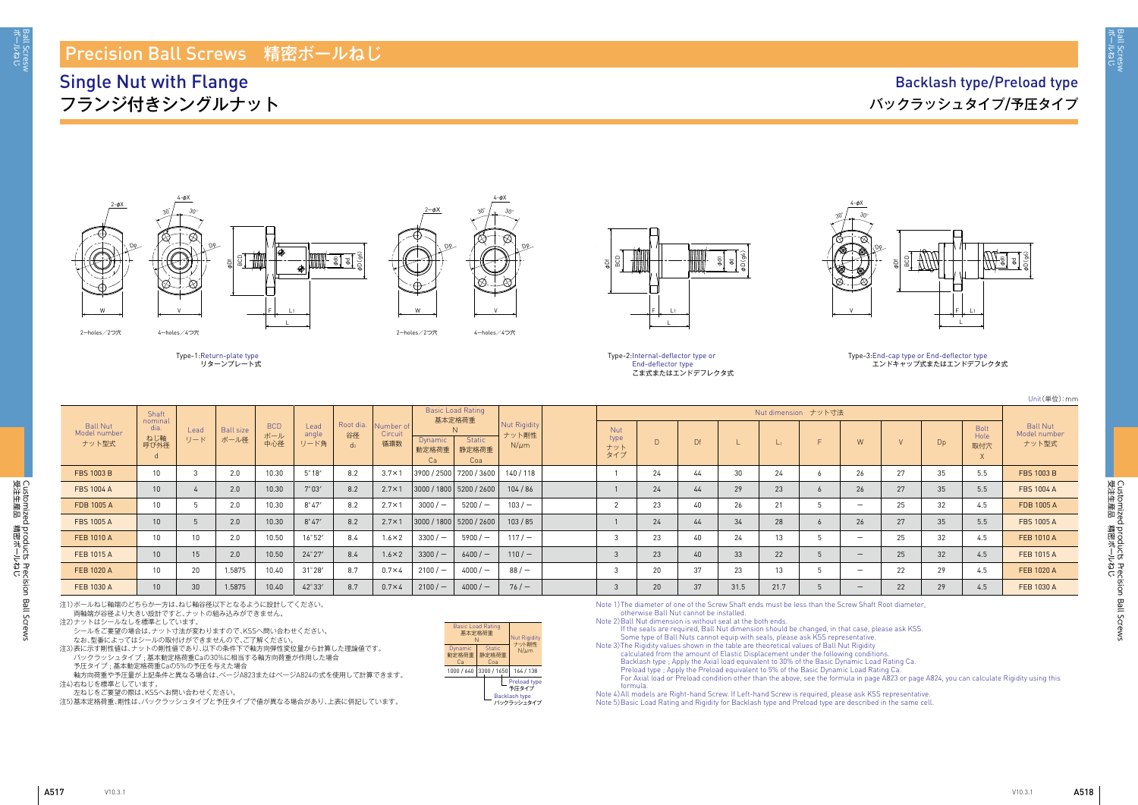A517 A518

ボールねじ Ball Scresw

Ball Scresw<br>ポールねじ

Customized products Precision Ball Screws<br>受注生産品 精密ボールねじ 受注生産品 講略洋 しち Customized products Precision Ball Screws

Unit(単位):mm

## Ball Nut Model number ナット型式 Bolt Hole 取付穴 X

|                                          |                                     |                 |                          |                          |                       |                                   |                             |                               |                                    |                                    |                                  |        |    |      |           |                     |                          |    |                |                                 | Unit(単位                                |
|------------------------------------------|-------------------------------------|-----------------|--------------------------|--------------------------|-----------------------|-----------------------------------|-----------------------------|-------------------------------|------------------------------------|------------------------------------|----------------------------------|--------|----|------|-----------|---------------------|--------------------------|----|----------------|---------------------------------|----------------------------------------|
|                                          | Shaft                               |                 |                          |                          |                       |                                   |                             |                               | <b>Basic Load Rating</b><br>基本定格荷重 |                                    |                                  |        |    |      |           | Nut dimension ナット寸法 |                          |    |                |                                 |                                        |
| <b>Ball Nut</b><br>Model number<br>ナット型式 | nominal<br>dia.<br>ねじ軸<br>呼び外径<br>d | Lead<br>リード     | <b>Ball size</b><br>ボール径 | <b>BCD</b><br>ボール<br>中心径 | Lead<br>angle<br>リード角 | Root dia.<br>谷径<br>d <sub>0</sub> | Number of<br>Circuit<br>循環数 | <b>Dynamic</b><br>動定格荷重<br>Ca | Static<br>静定格荷重<br>Coa             | Nut Rigidity<br>ナット剛性<br>$N/\mu m$ | <b>Nut</b><br>type<br>ナット<br>タイプ | $\Box$ | Df |      | $\vert$ 1 | $\Box$              | W                        |    | D <sub>p</sub> | <b>Bolt</b><br>Hole<br>取付穴<br>X | <b>Ball Nut</b><br>Model numb<br>ナット型式 |
| <b>FBS 1003 B</b>                        | 10 <sup>°</sup>                     |                 | 2.0                      | 10.30                    | $5^{\circ}18'$        | 8.2                               | $3.7 \times 1$              | 3900 / 2500 7200 / 3600       |                                    | 140/118                            |                                  | 24     | 44 | 30   | 24        |                     | 26                       | 27 | 35             | 5.5                             | FBS 1003 B                             |
| <b>FBS 1004 A</b>                        | 10 <sup>1</sup>                     |                 | 2.0                      | 10.30                    | $7^{\circ}03'$        | 8.2                               | $2.7 \times 1$              | 3000 / 1800   5200 / 2600     |                                    | 104/86                             |                                  | 24     | 44 | 29   | 23        |                     | 26                       | 27 | 35             | 5.5                             | <b>FBS 1004 A</b>                      |
| FDB 1005 A                               | 10 <sup>°</sup>                     |                 | 2.0                      | 10.30                    | $8^{\circ}47'$        | 8.2                               | $2.7 \times 1$              | $3000 / -$                    | $5200 / -$                         | $103 / -$                          |                                  | 23     | 40 | 26   | 21        |                     |                          | 25 | 32             | 4.5                             | FDB 1005 A                             |
| <b>FBS 1005 A</b>                        | 10 <sup>1</sup>                     |                 | 2.0                      | 10.30                    | $8^{\circ}47'$        | 8.2                               | $2.7 \times 1$              | 3000 / 1800   5200 / 2600     |                                    | 103/85                             |                                  | 24     | 44 | 34   | 28        |                     | 26                       | 27 | 35             | 5.5                             | FBS 1005 A                             |
| FEB 1010 A                               | 10 <sup>°</sup>                     | 10 <sup>°</sup> | 2.0                      | 10.50                    | 16°52'                | 8.4                               | $1.6 \times 2$              | $3300/-$                      | $5900/-$                           | 117/                               |                                  | 23     | 40 | 24   | 13        |                     | $\overline{\phantom{0}}$ | 25 | 32             | 4.5                             | FEB 1010 A                             |
| <b>FEB 1015 A</b>                        | 10 <sup>1</sup>                     | 15              | 2.0                      | 10.50                    | $24^{\circ}27'$       | 8.4                               | $1.6 \times 2$              | $3300/-$                      | $6400/-$                           | $110/-$                            |                                  | 23     | 40 | 33   | 22        |                     | $-$                      | 25 | 32             | 4.5                             | FEB 1015 A                             |
| <b>FEB 1020 A</b>                        | 10 <sup>°</sup>                     | 20              | 1.5875                   | 10.40                    | $31^\circ 28'$        | 8.7                               | $0.7\times4$                | $2100 / -$                    | $4000/-$                           | $88/$ $-$                          |                                  | 20     | 37 | 23   | 13        |                     | $\overline{\phantom{0}}$ | 22 | 29             | 4.5                             | FEB 1020 A                             |
| FEB 1030 A                               | 10 <sup>1</sup>                     | 30              | 1.5875                   | 10.40                    | 42°33′                | 8.7                               | $0.7\times4$                | $2100 / -$                    | $4000 / -$                         | 76/                                |                                  | 20     | 37 | 31.5 | 21.7      |                     | $\overline{\phantom{0}}$ | 22 | 29             | 4.5                             | FEB 1030 A                             |

al a φD(g6)

## Precision Ball Screws 精密ボールねじ

## Single Nut with Flange フランジ付きシングルナット



| <b>Basic Load Rating</b><br>基本定格荷重<br>N |                               | <b>Nut Rigidity</b><br>ナット剛性                  |
|-----------------------------------------|-------------------------------|-----------------------------------------------|
| Dynamic<br>動定格荷重<br>Cа                  | <b>Static</b><br>静定格荷重<br>Coa | $N/\mu$ m                                     |
| 1000 / 640                              | 3300 / 1650                   | 164 / 138                                     |
|                                         |                               | Preload type<br>予圧タイプ<br><b>Backlash type</b> |
|                                         |                               | バックラッシュタイプ                                    |

2-holes/2つ穴 4-holes/4つ穴





4-φX

Type-2: Internal-deflector type or End-deflector type こま式またはエンドデフレクタ式

4-φX

Dp





Dp





### Type-3: End-cap type or End-deflector type エンドキャップ式またはエンドデフレクタ式

注1)ボールねじ軸端のどちらか一方は、ねじ軸谷径以下となるように設計してください。

両軸端が谷径より大きい設計ですと、ナットの組み込みができません。

シールをご要望の場合は、ナット寸法が変わりますので、KSSへ問い合わせください。

なお、型番によってはシールの取付けができませんので、ご了解ください。

注3)表に示す剛性値は、ナットの剛性値であり、以下の条件下で軸方向弾性変位量から計算した理論値です。 バックラッシュタイプ ; 基本動定格荷重Caの30%に相当する軸方向荷重が作用した場合 予圧タイプ ; 基本動定格荷重Caの5%の予圧を与えた場合

軸方向荷重や予圧量が上記条件と異なる場合は、ぺージA823またはぺージA824の式を使用して計算できます。 注4)右ねじを標準としています。

左ねじをご要望の際は、KSSへお問い合わせください。

注5)基本定格荷重、剛性は、バックラッシュタイプと予圧タイプで値が異なる場合があり、上表に併記しています。

Note 1) The diameter of one of the Screw Shaft ends must be less than the Screw Shaft Root diameter, otherwise Ball Nut cannot be installed.

Note 2) Ball Nut dimension is without seal at the both ends.

If the seals are required, Ball Nut dimension should be changed, in that case, please ask KSS. Some type of Ball Nuts cannot equip with seals, please ask KSS representative. Note 3) The Rigidity values shown in the table are theoretical values of Ball Nut Rigidity calculated from the amount of Elastic Displacement under the following conditions. Backlash type ; Apply the Axial load equivalent to 30% of the Basic Dynamic Load Rating Ca. Preload type ; Apply the Preload equivalent to 5% of the Basic Dynamic Load Rating Ca. For Axial load or Preload condition other than the above, see the formula in page A823 or page A824, you can calculate Rigidity using this formula. Note 4) All models are Right-hand Screw. If Left-hand Screw is required, please ask KSS representative. Note 5) Basic Load Rating and Rigidity for Backlash type and Preload type are described in the same cell.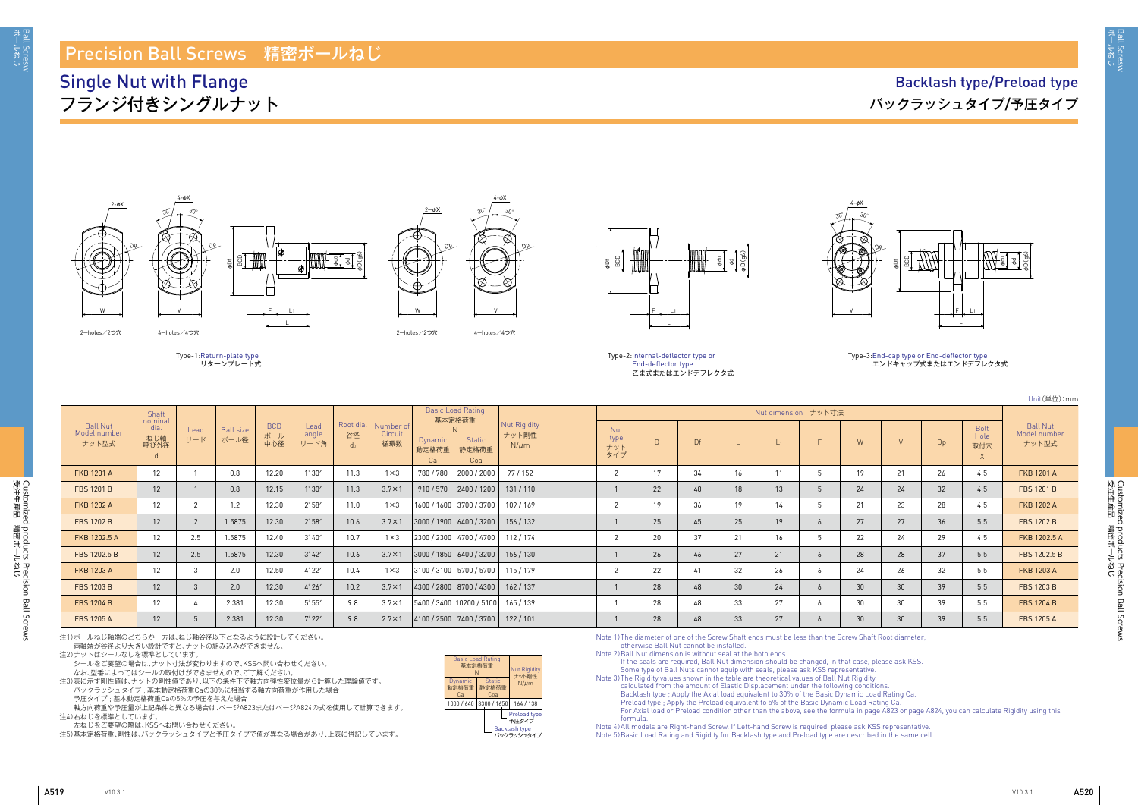Ball Scresw<br>ボールねじ

Customized products Precision Ball Screws<br>受注生産品 精密ボールねじ 受注生産品 講略洋 しち Customized products Precision Ball Screws



Unit(単位):mm

# Ball Nut Model number ナット型式 Bolt Hole 取付穴 X

|                                   | Shaft                                |             |                          |                          |                       |                                   |                             |                         | <b>Basic Load Rating</b><br>基本定格荷重 |                                    |                           |        |    |    | Nut dimension ナット寸法 |   |    |                |                |                     |                                         |
|-----------------------------------|--------------------------------------|-------------|--------------------------|--------------------------|-----------------------|-----------------------------------|-----------------------------|-------------------------|------------------------------------|------------------------------------|---------------------------|--------|----|----|---------------------|---|----|----------------|----------------|---------------------|-----------------------------------------|
| Ball Nut<br>Model number<br>ナット型式 | nominal<br>dia.<br>ねじ軸<br>呼び外径<br>a. | Lead<br>リード | <b>Ball size</b><br>ボール径 | <b>BCD</b><br>ボール<br>中心径 | Lead<br>angle<br>リード角 | Root dia.<br>谷径<br>d <sub>0</sub> | Number of<br>Circuit<br>循環数 | <b>Dynamic</b><br>動定格荷重 | <b>Static</b><br>静定格荷重<br>Coa      | Nut Rigidity<br>ナット剛性<br>$N/\mu m$ | Nut<br>type<br>ナット<br>タイプ | $\Box$ | Df |    | $L_1$               | E | W  | $\overline{M}$ | D <sub>p</sub> | Bolt<br>Hole<br>取付穴 | <b>Ball Nut</b><br>Model numbe<br>ナット型式 |
| <b>FKB 1201 A</b>                 | 12                                   |             | 0.8                      | 12.20                    | $1^\circ 30'$         | 11.3                              | $1 \times 3$                | 780 / 780               | 2000 / 2000                        | 97 / 152                           |                           | 17     | 34 | 16 |                     |   | 19 | 21             | 26             | 4.5                 | <b>FKB 1201 A</b>                       |
| <b>FBS 1201 B</b>                 | 12 <sup>1</sup>                      |             | 0.8                      | 12.15                    | $1^{\circ}30'$        | 11.3                              | $3.7 \times 1$              | 910/570                 | 2400 / 1200                        | 131/110                            |                           | 22     | 40 | 18 | 13                  |   | 24 | 24             | 32             | 4.5                 | <b>FBS 1201 B</b>                       |
| <b>FKB 1202 A</b>                 | 12                                   |             | 1.2                      | 12.30                    | $2^{\circ}58'$        | 11.0                              | $1 \times 3$                |                         | 1600 / 1600   3700 / 3700          | 109/169                            |                           | 19     | 36 | 19 | 14                  |   | 21 | 23             | 28             | 4.5                 | <b>FKB 1202 A</b>                       |
| <b>FBS 1202 B</b>                 | 12                                   |             | 1.5875                   | 12.30                    | $2^{\circ}58'$        | 10.6                              | $3.7 \times 1$              |                         | 3000 / 1900   6400 / 3200          | 156 / 132                          |                           | 25     | 45 | 25 | 19                  |   | 27 | 27             | 36             | 5.5                 | <b>FBS 1202 B</b>                       |
| FKB 1202.5 A                      | 12                                   | 2.5         | 1.5875                   | 12.40                    | $3^{\circ}40'$        | 10.7                              | $1 \times 3$                |                         | 2300 / 2300 4700 / 4700            | 112/174                            |                           | 20     | 37 | 21 | 16                  |   | 22 | 24             | 29             | 4.5                 | FKB 1202.5 A                            |
| FBS 1202.5 B                      | 12                                   | 2.5         | 1.5875                   | 12.30                    | $3^\circ 42'$         | 10.6                              | $3.7 \times 1$              |                         | 3000 / 1850   6400 / 3200          | 156/130                            |                           | 26     | 46 | 27 | 21                  |   | 28 | 28             | 37             | 5.5                 | FBS 1202.5 B                            |
| <b>FKB 1203 A</b>                 | 12                                   |             | 2.0                      | 12.50                    | 4°22'                 | 10.4                              | $1 \times 3$                |                         | 3100 / 3100 5700 / 5700            | 115/179                            |                           | 22     | 41 | 32 | 26                  |   | 24 | 26             | 32             | 5.5                 | <b>FKB 1203 A</b>                       |
| <b>FBS 1203 B</b>                 | 12                                   |             | 2.0                      | 12.30                    | 4°26'                 | 10.2                              | $3.7 \times 1$              |                         | 4300 / 2800   8700 / 4300          | 162/137                            |                           | 28     | 48 | 30 | 24                  |   | 30 | 30             | 39             | 5.5                 | <b>FBS 1203 B</b>                       |
| <b>FBS 1204 B</b>                 | 12                                   |             | 2.381                    | 12.30                    | $5^{\circ}55'$        | 9.8                               | $3.7 \times 1$              |                         | 5400 / 3400   10200 / 5100         | 165/139                            |                           | 28     | 48 | 33 | 27                  |   | 30 | 30             | 39             | 5.5                 | <b>FBS 1204 B</b>                       |
| <b>FBS 1205 A</b>                 | 12                                   |             | 2.381                    | 12.30                    | $7^\circ 22'$         | 9.8                               | $2.7 \times 1$              |                         | 4100 / 2500 7400 / 3700            | 122/101                            |                           | 28     | 48 | 33 | 27                  |   | 30 | 30             | 39             | 5.5                 | <b>FBS 1205 A</b>                       |

al a φD(g6)

## Precision Ball Screws 精密ボールねじ

## Single Nut with Flange フランジ付きシングルナット





Type-2: Internal-deflector type or End-deflector type こま式またはエンドデフレクタ式

2-holes/2つ穴 4-holes/4つ穴





4-φX

4-φX

Dp





Dp





### Type-3: End-cap type or End-deflector type エンドキャップ式またはエンドデフレクタ式

注1)ボールねじ軸端のどちらか一方は、ねじ軸谷径以下となるように設計してください。 両軸端が谷径より大きい設計ですと、ナットの組み込みができません。

注2)ナットはシールなしを標準としています。

シールをご要望の場合は、ナット寸法が変わりますので、KSSへ問い合わせください。

なお、型番によってはシールの取付けができませんので、ご了解ください。

注3)表に示す剛性値は、ナットの剛性値であり、以下の条件下で軸方向弾性変位量から計算した理論値です。 バックラッシュタイプ ; 基本動定格荷重Caの30%に相当する軸方向荷重が作用した場合

予圧タイプ ; 基本動定格荷重Caの5%の予圧を与えた場合

軸方向荷重や予圧量が上記条件と異なる場合は、ぺージA823またはぺージA824の式を使用して計算できます。 注4)右ねじを標準としています。

左ねじをご要望の際は、KSSへお問い合わせください。

注5)基本定格荷重、剛性は、バックラッシュタイプと予圧タイプで値が異なる場合があり、上表に併記しています。

Note 1) The diameter of one of the Screw Shaft ends must be less than the Screw Shaft Root diameter, otherwise Ball Nut cannot be installed.

Note 2) Ball Nut dimension is without seal at the both ends.

If the seals are required, Ball Nut dimension should be changed, in that case, please ask KSS. Some type of Ball Nuts cannot equip with seals, please ask KSS representative. Note 3) The Rigidity values shown in the table are theoretical values of Ball Nut Rigidity calculated from the amount of Elastic Displacement under the following conditions. Backlash type ; Apply the Axial load equivalent to 30% of the Basic Dynamic Load Rating Ca. Preload type ; Apply the Preload equivalent to 5% of the Basic Dynamic Load Rating Ca. For Axial load or Preload condition other than the above, see the formula in page A823 or page A824, you can calculate Rigidity using this formula.

Note 4) All models are Right-hand Screw. If Left-hand Screw is required, please ask KSS representative. Note 5) Basic Load Rating and Rigidity for Backlash type and Preload type are described in the same cell.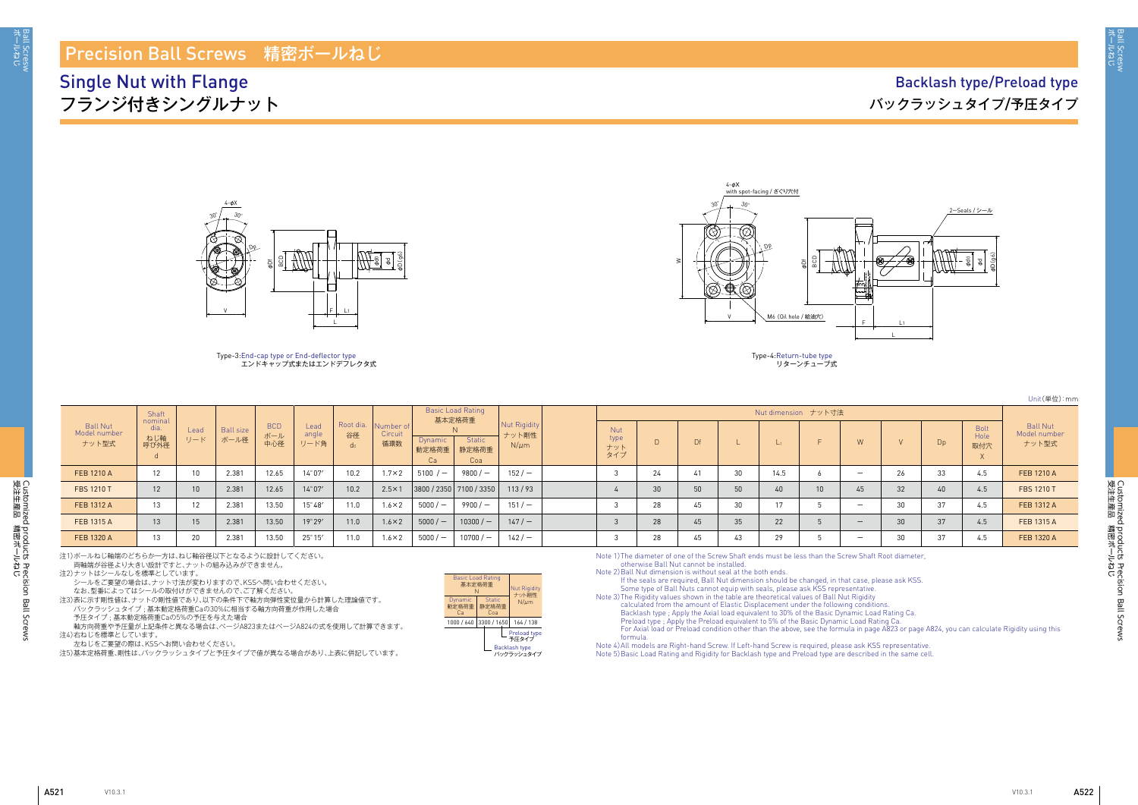aall Scresw<br>ドールねじ

Customized products Precision Ball Screws<br>受注生産品 精密ボールねじ 受注生産品 講略洋 しち Customized products Precision Ball Screws

| Unit(単位):mm |  |
|-------------|--|
|-------------|--|

|                                   | Shaft                          |             |                          |                          |                       |                                   |                             |                               | <b>Basic Load Rating</b><br>基本定格荷重 |                                           |                                  |    |    |    | Nut dimension ナット寸法 |                          |                 |          |                            |                                          |
|-----------------------------------|--------------------------------|-------------|--------------------------|--------------------------|-----------------------|-----------------------------------|-----------------------------|-------------------------------|------------------------------------|-------------------------------------------|----------------------------------|----|----|----|---------------------|--------------------------|-----------------|----------|----------------------------|------------------------------------------|
| Ball Nut<br>Model number<br>ナット型式 | nominal<br>dia.<br>ねじ軸<br>呼び外径 | Lead<br>リード | <b>Ball size</b><br>ボール径 | <b>BCD</b><br>ボール<br>中心径 | Lead<br>angle<br>リード角 | Root dia.<br>谷径<br>d <sub>0</sub> | Number of<br>Circuit<br>循環数 | <b>Dynamic</b><br>動定格荷重<br>Ca | Static<br>静定格荷重<br>Coa             | <b>Nut Rigidity</b><br>ナット剛性<br>$N/\mu m$ | <b>Nut</b><br>type<br>ナット<br>タイプ | D. | Df |    |                     |                          |                 | Dp       | <b>Bolt</b><br>Hole<br>取付穴 | <b>Ball Nut</b><br>Model number<br>ナット型式 |
| FEB 1210 A                        | $1^{\circ}$<br>1 Z             | 10          | 2.381                    | 12.65                    | $14^{\circ}07'$       | 10.2                              | $1.7 \times 2$              | $5100 / -$                    | $9800 / -$                         | $152/ -$                                  |                                  | 24 |    | 30 | 14.5                |                          | 26              | 33       | 4.5                        | FEB 1210 A                               |
| <b>FBS 1210 T</b>                 | 12                             | $10-10$     | 2.381                    | 12.65                    | $14^{\circ}07'$       | 10.2                              | $2.5 \times 1$              |                               | 3800 / 2350   7100 / 3350          | 113/93                                    |                                  | 30 | 50 | 50 |                     |                          | 32 <sup>2</sup> | 40       | 4.5                        | <b>FBS 1210 T</b>                        |
| FEB 1312 A                        | $1^{\circ}$<br>⊣ ບ             | 12          | 2.381                    | 13.50                    | $15^{\circ}48'$       | 11.0                              | $1.6 \times 2$              | $5000 / -$                    | $9900/-$                           | $151 / -$                                 |                                  | 28 | 45 | 30 |                     | $\overline{\phantom{0}}$ | 30              | $\Omega$ | 4.5                        | FEB 1312 A                               |
| FEB 1315 A                        | 13                             | 15          | 2.381                    | 13.50                    | 19°29'                | 11.0                              | $1.6 \times 2$              | $5000 / -$                    | $10300/-$                          | 147/                                      |                                  | 28 | 45 | 35 | 22                  | $\overline{\phantom{0}}$ | 30              | 37       | 4.5                        | FEB 1315 A                               |
| FEB 1320 A                        | $1^{\circ}$                    | 20          | 2.381                    | 13.50                    | $25^{\circ} 15'$      | 11.0                              | $1.6 \times 2$              | $5000 / -$                    | $10700 / -$                        | 142/                                      |                                  | 28 | 45 | 43 | 20                  | $\overline{\phantom{0}}$ | 3U              |          | 4.5                        | FEB 1320 A                               |

## Precision Ball Screws 精密ボールねじ

## Single Nut with Flange フランジ付きシングルナット

## Backlash type/Preload type バックラッシュタイプ/予圧タイプ

| 基本定格荷重<br>N            | <b>Basic Load Rating</b>      | <b>Nut Rigidity</b><br>ナット剛性                         |
|------------------------|-------------------------------|------------------------------------------------------|
| Dynamic<br>動定格荷重<br>Cа | <b>Static</b><br>静定格荷重<br>Coa | $N/\mu$ m                                            |
| 1000 / 640             | 3300 / 1650                   | 164 / 138                                            |
|                        |                               | Preload type<br>予圧タイプ<br>Backlash type<br>バックラッシュタイプ |



### Type-3: End-cap type or End-deflector type エンドキャップ式またはエンドデフレクタ式

注1)ボールねじ軸端のどちらか一方は、ねじ軸谷径以下となるように設計してください。

両軸端が谷径より大きい設計ですと、ナットの組み込みができません。

注2)ナットはシールなしを標準としています。

シールをご要望の場合は、ナット寸法が変わりますので、KSSへ問い合わせください。 なお、型番によってはシールの取付けができませんので、ご了解ください。

注3)表に示す剛性値は、ナットの剛性値であり、以下の条件下で軸方向弾性変位量から計算した理論値です。

バックラッシュタイプ ; 基本動定格荷重Caの30%に相当する軸方向荷重が作用した場合 予圧タイプ ; 基本動定格荷重Caの5%の予圧を与えた場合

軸方向荷重や予圧量が上記条件と異なる場合は、ぺージA823またはぺージA824の式を使用して計算できます。 注4)右ねじを標準としています。

左ねじをご要望の際は、KSSへお問い合わせください。

注5)基本定格荷重、剛性は、バックラッシュタイプと予圧タイプで値が異なる場合があり、上表に併記しています。

Note 1) The diameter of one of the Screw Shaft ends must be less than the Screw Shaft Root diameter, otherwise Ball Nut cannot be installed.

Note 2) Ball Nut dimension is without seal at the both ends.

If the seals are required, Ball Nut dimension should be changed, in that case, please ask KSS. Some type of Ball Nuts cannot equip with seals, please ask KSS representative. Note 3) The Rigidity values shown in the table are theoretical values of Ball Nut Rigidity calculated from the amount of Elastic Displacement under the following conditions. Backlash type ; Apply the Axial load equivalent to 30% of the Basic Dynamic Load Rating Ca. Preload type ; Apply the Preload equivalent to 5% of the Basic Dynamic Load Rating Ca. For Axial load or Preload condition other than the above, see the formula in page A823 or page A824, you can calculate Rigidity using this formula.

Note 4) All models are Right-hand Screw. If Left-hand Screw is required, please ask KSS representative. Note 5) Basic Load Rating and Rigidity for Backlash type and Preload type are described in the same cell.



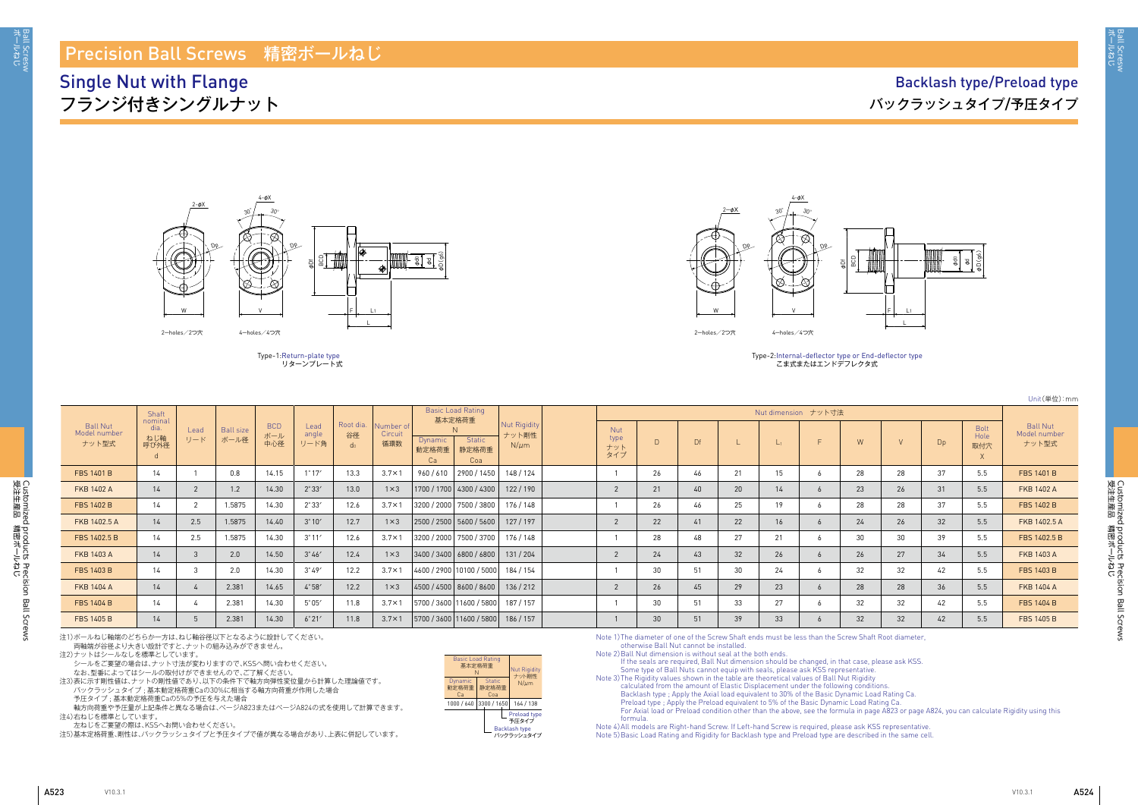受注生産品 講験共一

ボールねじ Ball Scresw

3all Scresw<br>ボールねじ

Customized products Precision Ball Screws<br>受注生産品 精密ボールねじ 受注生産品 講略洋 しち Customized products Precision Ball Screws

Customized products Precision Ball Screws

Customized products Precision Ball Screws<br>受注生産品 精密ボールねじ



Unit(単位):mm

| $\vee$ | Dp | <b>Bolt</b><br>Hole<br>取付穴<br>X | <b>Ball Nut</b><br>Model number<br>ナット型式 |
|--------|----|---------------------------------|------------------------------------------|
| 28     | 37 | 5.5                             | <b>FBS 1401 B</b>                        |
| 26     | 31 | 5.5                             | <b>FKB 1402 A</b>                        |
| 28     | 37 | 5.5                             | <b>FBS 1402 B</b>                        |
| 26     | 32 | 5.5                             | FKB 1402.5 A                             |
| 30     | 39 | 5.5                             | FBS 1402.5 B                             |
| 27     | 34 | 5.5                             | <b>FKB 1403 A</b>                        |
| 32     | 42 | 5.5                             | <b>FBS 1403 B</b>                        |

## Precision Ball Screws 精密ボールねじ

Single Nut with Flange フランジ付きシングルナット

## Backlash type/Preload type バックラッシュタイプ/予圧タイプ



こま式またはエンドデフレクタ式

|                                          |                                      |                |                          |                          |                       |                          |                             |                                                                |                                    |                           |        |    |    |       |                     |    |    |    |                            | ○□□□ (半) 12/                            |
|------------------------------------------|--------------------------------------|----------------|--------------------------|--------------------------|-----------------------|--------------------------|-----------------------------|----------------------------------------------------------------|------------------------------------|---------------------------|--------|----|----|-------|---------------------|----|----|----|----------------------------|-----------------------------------------|
|                                          | Shaft                                |                |                          |                          |                       |                          |                             | <b>Basic Load Rating</b><br>基本定格荷重                             |                                    |                           |        |    |    |       | Nut dimension ナット寸法 |    |    |    |                            |                                         |
| <b>Ball Nut</b><br>Model number<br>ナット型式 | nominal<br>dia.<br>ねじ軸<br>呼び外径<br>d. | Lead<br>リード    | <b>Ball size</b><br>ボール径 | <b>BCD</b><br>ボール<br>中心径 | Lead<br>angle<br>リード角 | Root dia.<br>谷径<br>$d_0$ | Number of<br>Circuit<br>循環数 | <b>Static</b><br><b>Dynamic</b><br>動定格荷重<br>静定格荷重<br>Ca<br>Coa | Nut Rigidity<br>ナット剛性<br>$N/\mu m$ | Nut<br>type<br>ナット<br>タイプ | $\Box$ | Df |    | $L_1$ |                     | W  |    | Dp | <b>Bolt</b><br>Hole<br>取付穴 | <b>Ball Nut</b><br>Model numbe<br>ナット型式 |
| <b>FBS 1401 B</b>                        | 14                                   |                | 0.8                      | 14.15                    | $1^{\circ}17'$        | 13.3                     | $3.7 \times 1$              | 960/610<br>2900 / 1450                                         | 148 / 124                          |                           | 26     | 46 | 21 | 15    |                     | 28 | 28 | 37 | 5.5                        | <b>FBS 1401 B</b>                       |
| <b>FKB 1402 A</b>                        | 14                                   | $\overline{2}$ | 1.2                      | 14.30                    | $2^{\circ}33'$        | 13.0                     | $1 \times 3$                | 1700 / 1700 4300 / 4300                                        | 122/190                            |                           | 21     | 40 | 20 | 14    |                     | 23 | 26 | 31 | 5.5                        | <b>FKB 1402 A</b>                       |
| <b>FBS 1402 B</b>                        | 14                                   | 2              | 1.5875                   | 14.30                    | $2^{\circ}33'$        | 12.6                     | $3.7 \times 1$              | 3200 / 2000 7500 / 3800                                        | 176 / 148                          |                           | 26     | 46 | 25 | 19    |                     | 28 | 28 | 37 | 5.5                        | <b>FBS 1402 B</b>                       |
| FKB 1402.5 A                             | 14                                   | 2.5            | 1.5875                   | 14.40                    | 3°10'                 | 12.7                     | $1 \times 3$                | 2500/2500 5600/5600                                            | 127/197                            |                           | 22     | 41 | 22 | 16    |                     | 24 | 26 | 32 | 5.5                        | FKB 1402.5 A                            |
| FBS 1402.5 B                             | 14                                   | 2.5            | 1.5875                   | 14.30                    | $3^{\circ}11'$        | 12.6                     | $3.7 \times 1$              | 3200 / 2000   7500 / 3700                                      | 176 / 148                          |                           | 28     | 48 | 27 | 21    |                     | 30 | 30 | 39 | 5.5                        | FBS 1402.5 B                            |
| <b>FKB 1403 A</b>                        | 14                                   | 3              | 2.0                      | 14.50                    | $3^{\circ}46'$        | 12.4                     | $1 \times 3$                | $ 3400/3400 $ 6800 / 6800 $ $                                  | 131/204                            |                           | 24     | 43 | 32 | 26    |                     | 26 | 27 | 34 | 5.5                        | FKB 1403 A                              |
| FBS 1403 B                               | 14                                   | 3              | 2.0                      | 14.30                    | $3^{\circ}49'$        | 12.2                     | $3.7 \times 1$              | 4600 / 2900   10100 / 5000                                     | 184 / 154                          |                           | 30     | 5' | 30 | 24    |                     | 32 | 32 | 42 | 5.5                        | <b>FBS 1403 B</b>                       |
| <b>FKB 1404 A</b>                        | 14                                   |                | 2.381                    | 14.65                    | 4°58'                 | 12.2                     | $1 \times 3$                | 4500/4500 8600/8600                                            | 136/212                            |                           | 26     | 45 | 29 | 23    |                     | 28 | 28 | 36 | 5.5                        | <b>FKB 1404 A</b>                       |
| <b>FBS 1404 B</b>                        | 14                                   | 4              | 2.381                    | 14.30                    | $5^{\circ}05'$        | 11.8                     | $3.7 \times 1$              | 5700 / 3600 11600 / 5800                                       | 187 / 157                          |                           | 30     | 51 | 33 | 27    |                     | 32 | 32 | 42 | 5.5                        | <b>FBS 1404 B</b>                       |
| <b>FBS 1405 B</b>                        | 14                                   | .5             | 2.381                    | 14.30                    | 6°21'                 | 11.8                     | $3.7 \times 1$              | 5700 / 3600   11600 / 5800   186 / 157                         |                                    |                           | 30     | 51 | 39 | 33    |                     | 32 | 32 | 42 | 5.5                        | <b>FBS 1405 B</b>                       |



Type-1: Return-plate type リターンプレート式



Type-2: Internal-deflector type or End-deflector type

注1)ボールねじ軸端のどちらか一方は、ねじ軸谷径以下となるように設計してください。

両軸端が谷径より大きい設計ですと、ナットの組み込みができません。

注2)ナットはシールなしを標準としています。

シールをご要望の場合は、ナット寸法が変わりますので、KSSへ問い合わせください。

なお、型番によってはシールの取付けができませんので、ご了解ください。

注3)表に示す剛性値は、ナットの剛性値であり、以下の条件下で軸方向弾性変位量から計算した理論値です。 バックラッシュタイプ ; 基本動定格荷重Caの30%に相当する軸方向荷重が作用した場合

予圧タイプ ; 基本動定格荷重Caの5%の予圧を与えた場合

軸方向荷重や予圧量が上記条件と異なる場合は、ぺージA823またはぺージA824の式を使用して計算できます。 注4)右ねじを標準としています。

左ねじをご要望の際は、KSSへお問い合わせください。

注5)基本定格荷重、剛性は、バックラッシュタイプと予圧タイプで値が異なる場合があり、上表に併記しています。

Note 1) The diameter of one of the Screw Shaft ends must be less than the Screw Shaft Root diameter, otherwise Ball Nut cannot be installed.

Note 2) Ball Nut dimension is without seal at the both ends.

If the seals are required, Ball Nut dimension should be changed, in that case, please ask KSS. Some type of Ball Nuts cannot equip with seals, please ask KSS representative. Note 3) The Rigidity values shown in the table are theoretical values of Ball Nut Rigidity calculated from the amount of Elastic Displacement under the following conditions. Backlash type ; Apply the Axial load equivalent to 30% of the Basic Dynamic Load Rating Ca. Preload type ; Apply the Preload equivalent to 5% of the Basic Dynamic Load Rating Ca. For Axial load or Preload condition other than the above, see the formula in page A823 or page A824, you can calculate Rigidity using this formula.

Note 4) All models are Right-hand Screw. If Left-hand Screw is required, please ask KSS representative. Note 5) Basic Load Rating and Rigidity for Backlash type and Preload type are described in the same cell.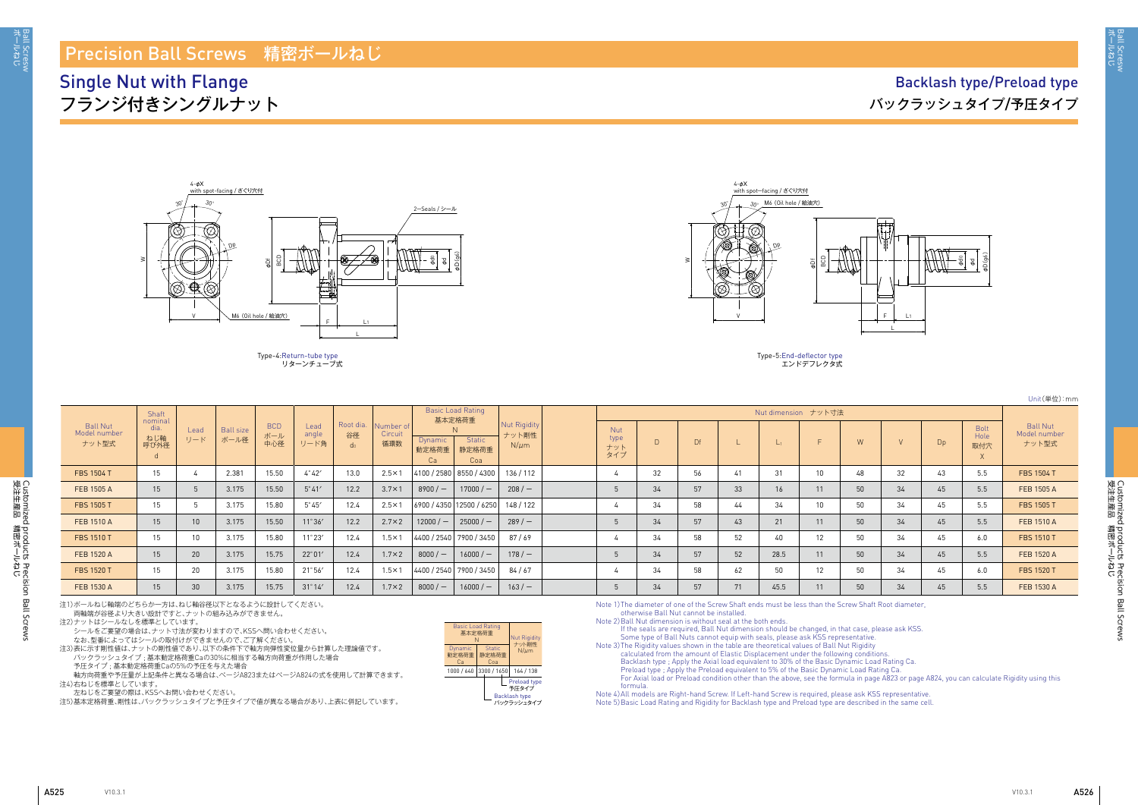Ball Scresw<br>ポールねじ

Customized products Precision Ball Screws<br>受注生産品 精密ボールねじ 受注生産品 講略洋 しち Customized products Precision Ball Screws



| Unit(単位):mm |  |  |
|-------------|--|--|
|-------------|--|--|

|                                   |                                |                 |                          |                          |                       |                 |                             |                         | <b>Basic Load Rating</b>  |                                    |                                  |        |    |    |                     |    |    |    |    |                                        |                                          |
|-----------------------------------|--------------------------------|-----------------|--------------------------|--------------------------|-----------------------|-----------------|-----------------------------|-------------------------|---------------------------|------------------------------------|----------------------------------|--------|----|----|---------------------|----|----|----|----|----------------------------------------|------------------------------------------|
|                                   | Shaft                          |                 |                          |                          |                       |                 |                             |                         | 基本定格荷重                    |                                    |                                  |        |    |    | Nut dimension ナット寸法 |    |    |    |    |                                        |                                          |
| Ball Nut<br>Model number<br>ナット型式 | nominal<br>dia.<br>ねじ軸<br>呼び外径 | Lead<br>リード     | <b>Ball size</b><br>ボール径 | <b>BCD</b><br>ボール<br>中心径 | Lead<br>angle<br>リード角 | Root dia.<br>谷径 | Number of<br>Circuit<br>循環数 | Dynamic<br>動定格荷重<br>Ca  | Static<br>静定格荷重<br>Coa    | Nut Rigidity<br>ナット剛性<br>$N/\mu m$ | <b>Nut</b><br>type<br>ナット<br>タイプ | $\Box$ | Df |    |                     |    | W  |    | Dp | <b>Bolt</b><br>Hole<br>取付穴<br>$\wedge$ | <b>Ball Nut</b><br>Model number<br>ナット型式 |
| <b>FBS 1504 T</b>                 | 15                             |                 | 2.381                    | 15.50                    | $4^{\circ}42'$        | 13.0            | $2.5 \times 1$              |                         | 4100 / 2580   8550 / 4300 | 136/112                            |                                  | 32     | 56 |    | ا ک                 | 10 | 48 | 32 |    | 5.5                                    | <b>FBS 1504 T</b>                        |
| FEB 1505 A                        | 15                             |                 | 3.175                    | 15.50                    | $5^\circ 41'$         | 12.2            | $3.7 \times 1$              | $8900/$ –               | $17000 / -$               | 208/                               |                                  | 34     | 57 | 33 | 16                  | 11 | 50 | 34 | 45 | 5.5                                    | FEB 1505 A                               |
| FBS 1505 T                        | 15                             | ാ               | 3.175                    | 15.80                    | $5^{\circ}45'$        | 12.4            | $2.5 \times 1$              |                         | 6900 / 4350 12500 / 6250  | 148 / 122                          |                                  | 34     | 58 | 44 | 34                  | 10 | 50 | 34 | 45 | 5.5                                    | <b>FBS 1505 T</b>                        |
| FEB 1510 A                        | 15                             | 10 <sup>°</sup> | 3.175                    | 15.50                    | $11^{\circ}36'$       | 12.2            | $2.7 \times 2$              | $12000 / -$             | $25000 / -$               | 289/                               |                                  | 34     | 57 | 43 | 21                  | 11 | 50 | 34 | 45 | 5.5                                    | <b>FEB 1510 A</b>                        |
| <b>FBS 1510 T</b>                 | 15                             | 10              | 3.175                    | 15.80                    | $11^{\circ}23'$       | 12.4            | $1.5 \times 1$              | 4400 / 2540 7900 / 3450 |                           | 87/69                              |                                  | 34     | 58 | 52 | 40                  | 12 | 50 | 34 | 45 | 6.0                                    | <b>FBS 1510 T</b>                        |
| FEB 1520 A                        | 15                             | 20              | 3.175                    | 15.75                    | $22^{\circ}01'$       | 12.4            | $1.7 \times 2$              | $8000 / -$              | $16000 / -$               | 178/                               |                                  | 34     | 57 | 52 | 28.5                | 11 | 50 | 34 | 45 | 5.5                                    | FEB 1520 A                               |
| FBS 1520 T                        | 15                             | 20              | 3.175                    | 15.80                    | $21^{\circ}56'$       | 12.4            | $1.5 \times 1$              |                         | 4400 / 2540   7900 / 3450 | 84/67                              |                                  | 34     | 58 | 62 | 50                  | 12 | 50 | 34 | 45 | 6.0                                    | <b>FBS 1520 T</b>                        |
| FEB 1530 A                        | 15                             | 30              | 3.175                    | 15.75                    | $31^{\circ}14'$       | 12.4            | $1.7 \times 2$              | $8000 / -$              | $16000 / -$               | 163/                               |                                  | 34     | 57 | 71 | 45.5                | 11 | 50 | 34 | 45 | 5.5                                    | FEB 1530 A                               |



Type-5: End-deflector type エンドデフレクタ式



## Precision Ball Screws 精密ボールねじ

## Single Nut with Flange フランジ付きシングルナット

## Backlash type/Preload type バックラッシュタイプ/予圧タイプ

| N |     |                                                     | <b>Nut Rigidity</b><br>ナット剛性                         |
|---|-----|-----------------------------------------------------|------------------------------------------------------|
|   | Coa |                                                     | $N/\mu$ m                                            |
|   |     |                                                     | 164 / 138                                            |
|   |     |                                                     | Preload type<br>予圧タイプ<br>Backlash type<br>バックラッシュタイプ |
|   |     | <b>Basic Load Rating</b><br>基本定格荷重<br><b>Static</b> | 静定格荷重<br>3300 / 1650                                 |



注1)ボールねじ軸端のどちらか一方は、ねじ軸谷径以下となるように設計してください。

両軸端が谷径より大きい設計ですと、ナットの組み込みができません。

注2)ナットはシールなしを標準としています。

シールをご要望の場合は、ナット寸法が変わりますので、KSSへ問い合わせください。

なお、型番によってはシールの取付けができませんので、ご了解ください。

注3)表に示す剛性値は、ナットの剛性値であり、以下の条件下で軸方向弾性変位量から計算した理論値です。 バックラッシュタイプ ; 基本動定格荷重Caの30%に相当する軸方向荷重が作用した場合 予圧タイプ ; 基本動定格荷重Caの5%の予圧を与えた場合

軸方向荷重や予圧量が上記条件と異なる場合は、ぺージA823またはぺージA824の式を使用して計算できます。 注4)右ねじを標準としています。

、<br>左ねじをご要望の際は、KSSへお問い合わせください。

注5)基本定格荷重、剛性は、バックラッシュタイプと予圧タイプで値が異なる場合があり、上表に併記しています。

Note 1) The diameter of one of the Screw Shaft ends must be less than the Screw Shaft Root diameter, otherwise Ball Nut cannot be installed.

Note 2) Ball Nut dimension is without seal at the both ends.

If the seals are required, Ball Nut dimension should be changed, in that case, please ask KSS. Some type of Ball Nuts cannot equip with seals, please ask KSS representative. calculated from the amount of Elastic Displacement under the following conditions. Backlash type ; Apply the Axial load equivalent to 30% of the Basic Dynamic Load Rating Ca. Preload type ; Apply the Preload equivalent to 5% of the Basic Dynamic Load Rating Ca. For Axial load or Preload condition other than the above, see the formula in page A823 or page A824, you can calculate Rigidity using this formula.